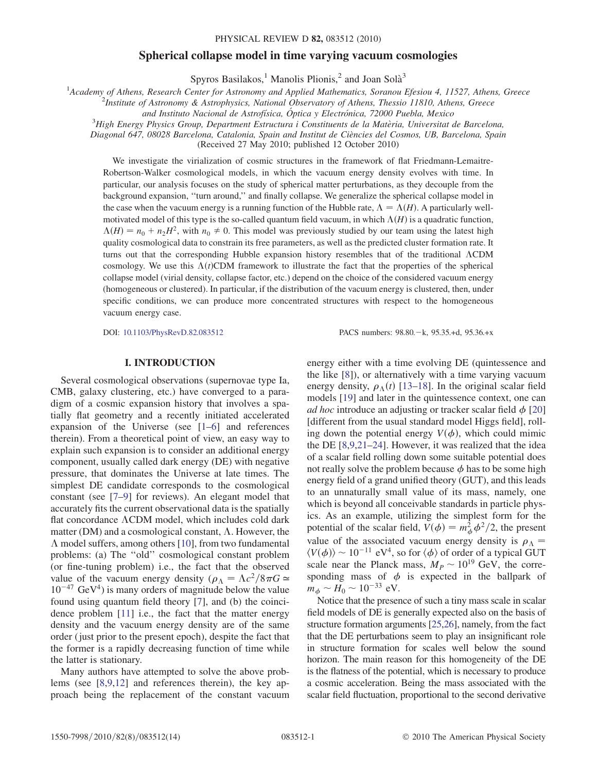#### PHYSICAL REVIEW D 82, 083512 (2010)

# Spherical collapse model in time varying vacuum cosmologies

Spyros Basilakos, <sup>1</sup> Manolis Plionis,  $^2$  and Joan Solà<sup>3</sup>

<sup>1</sup>Academy of Athens, Research Center for Astronomy and Applied Mathematics, Soranou Efesiou 4, 11527, Athens, Greece <sup>2</sup><br><sup>2</sup> Institute of Astronomy & Astronomy and Applied Observatory of Athens, Thessie, 11810, Athens, Gr

<sup>2</sup>Institute of Astronomy & Astrophysics, National Observatory of Athens, Thessio 11810, Athens, Greece

and Instituto Nacional de Astrofísica, Óptica y Electrónica, 72000 Puebla, Mexico

 ${}^{3}$ High Energy Physics Group, Department Estructura i Constituents de la Matèria, Universitat de Barcelona,

Diagonal 647, 08028 Barcelona, Catalonia, Spain and Institut de Ciències del Cosmos, UB, Barcelona, Spain

(Received 27 May 2010; published 12 October 2010)

We investigate the virialization of cosmic structures in the framework of flat Friedmann-Lemaitre-Robertson-Walker cosmological models, in which the vacuum energy density evolves with time. In particular, our analysis focuses on the study of spherical matter perturbations, as they decouple from the background expansion, ''turn around,'' and finally collapse. We generalize the spherical collapse model in the case when the vacuum energy is a running function of the Hubble rate,  $\Lambda = \Lambda(H)$ . A particularly wellmotivated model of this type is the so-called quantum field vacuum, in which  $\Lambda(H)$  is a quadratic function,  $\Lambda(H) = n_0 + n_2H^2$ , with  $n_0 \neq 0$ . This model was previously studied by our team using the latest high quality cosmological data to constrain its free parameters, as well as the predicted cluster formation rate. It turns out that the corresponding Hubble expansion history resembles that of the traditional CDM cosmology. We use this  $\Lambda(t)$ CDM framework to illustrate the fact that the properties of the spherical collapse model (virial density, collapse factor, etc.) depend on the choice of the considered vacuum energy (homogeneous or clustered). In particular, if the distribution of the vacuum energy is clustered, then, under specific conditions, we can produce more concentrated structures with respect to the homogeneous vacuum energy case.

DOI: [10.1103/PhysRevD.82.083512](http://dx.doi.org/10.1103/PhysRevD.82.083512) PACS numbers: 98.80.k, 95.35.+d, 95.36.+x

## I. INTRODUCTION

Several cosmological observations (supernovae type Ia, CMB, galaxy clustering, etc.) have converged to a paradigm of a cosmic expansion history that involves a spatially flat geometry and a recently initiated accelerated expansion of the Universe (see [\[1–](#page-11-0)[6](#page-11-1)] and references therein). From a theoretical point of view, an easy way to explain such expansion is to consider an additional energy component, usually called dark energy (DE) with negative pressure, that dominates the Universe at late times. The simplest DE candidate corresponds to the cosmological constant (see [\[7](#page-12-0)[–9\]](#page-12-1) for reviews). An elegant model that accurately fits the current observational data is the spatially flat concordance  $\Lambda$ CDM model, which includes cold dark matter (DM) and a cosmological constant,  $\Lambda$ . However, the  $\Lambda$  model suffers, among others [\[10\]](#page-12-2), from two fundamental problems: (a) The ''old'' cosmological constant problem (or fine-tuning problem) i.e., the fact that the observed value of the vacuum energy density  $(\rho_{\Lambda} = \Lambda c^2/8\pi G \simeq$  $10^{-47}$  GeV<sup>4</sup>) is many orders of magnitude below the value found using quantum field theory [\[7](#page-12-0)], and (b) the coincidence problem [[11](#page-12-3)] i.e., the fact that the matter energy density and the vacuum energy density are of the same order (just prior to the present epoch), despite the fact that the former is a rapidly decreasing function of time while the latter is stationary.

Many authors have attempted to solve the above problems (see [\[8](#page-12-4)[,9](#page-12-1),[12](#page-12-5)] and references therein), the key approach being the replacement of the constant vacuum energy either with a time evolving DE (quintessence and the like [[8](#page-12-4)]), or alternatively with a time varying vacuum energy density,  $\rho_{\Lambda}(t)$  [[13](#page-12-6)[–18\]](#page-12-7). In the original scalar field models [[19](#page-12-8)] and later in the quintessence context, one can ad hoc introduce an adjusting or tracker scalar field  $\phi$  [\[20\]](#page-12-9) [different from the usual standard model Higgs field], rolling down the potential energy  $V(\phi)$ , which could mimic the DE [[8](#page-12-4),[9,](#page-12-1)[21](#page-12-10)[–24\]](#page-12-11). However, it was realized that the idea of a scalar field rolling down some suitable potential does not really solve the problem because  $\phi$  has to be some high energy field of a grand unified theory (GUT), and this leads to an unnaturally small value of its mass, namely, one which is beyond all conceivable standards in particle physics. As an example, utilizing the simplest form for the potential of the scalar field,  $V(\phi) = m_{\phi}^2 \phi^2/2$ , the present value of the associated vacuum energy density is  $\rho_{\Lambda}$  =  $\langle V(\phi) \rangle \sim 10^{-11}$  eV<sup>4</sup>, so for  $\langle \phi \rangle$  of order of a typical GUT scale near the Planck mass,  $M_P \sim 10^{19}$  GeV, the corresponding mass of  $\phi$  is expected in the ballpark of  $m_{\phi} \sim H_0 \sim 10^{-33}$  eV.

Notice that the presence of such a tiny mass scale in scalar field models of DE is generally expected also on the basis of structure formation arguments [[25](#page-12-12)[,26\]](#page-12-13), namely, from the fact that the DE perturbations seem to play an insignificant role in structure formation for scales well below the sound horizon. The main reason for this homogeneity of the DE is the flatness of the potential, which is necessary to produce a cosmic acceleration. Being the mass associated with the scalar field fluctuation, proportional to the second derivative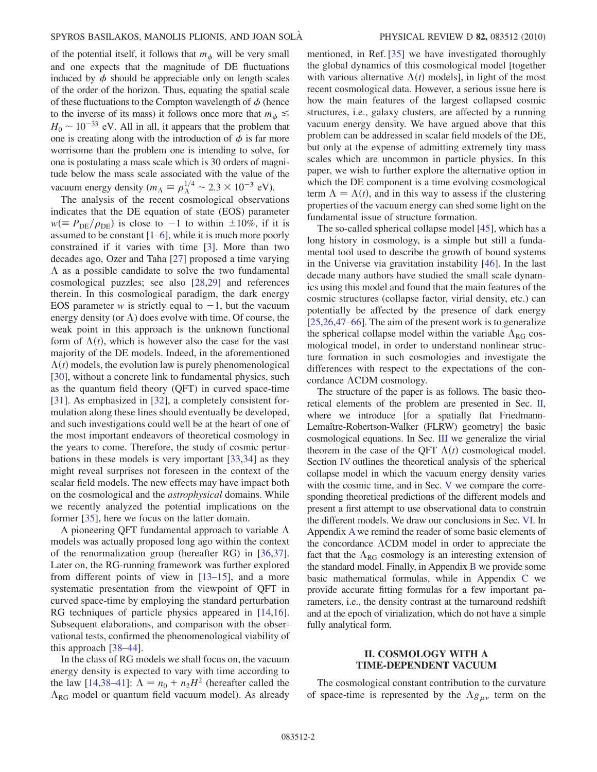of the potential itself, it follows that  $m_{\phi}$  will be very small and one expects that the magnitude of DE fluctuations induced by  $\phi$  should be appreciable only on length scales of the order of the horizon. Thus, equating the spatial scale of these fluctuations to the Compton wavelength of  $\phi$  (hence to the inverse of its mass) it follows once more that  $m_{\phi} \leq$  $H_0 \sim 10^{-33}$  eV. All in all, it appears that the problem that one is creating along with the introduction of  $\phi$  is far more worrisome than the problem one is intending to solve, for one is postulating a mass scale which is 30 orders of magnitude below the mass scale associated with the value of the vacuum energy density ( $m_A \equiv \rho_A^{1/4} \sim 2.3 \times 10^{-3}$  eV).

The analysis of the recent cosmological observations indicates that the DE equation of state (EOS) parameter  $w(\equiv P_{\rm DE}/\rho_{\rm DE})$  is close to -1 to within  $\pm 10\%$ , if it is assumed to be constant [\[1–](#page-11-0)[6](#page-11-1)], while it is much more poorly constrained if it varies with time [\[3](#page-11-2)]. More than two decades ago, Ozer and Taha [[27\]](#page-12-14) proposed a time varying  $\Lambda$  as a possible candidate to solve the two fundamental cosmological puzzles; see also [[28](#page-12-15),[29](#page-12-16)] and references therein. In this cosmological paradigm, the dark energy EOS parameter w is strictly equal to  $-1$ , but the vacuum energy density (or  $\Lambda$ ) does evolve with time. Of course, the weak point in this approach is the unknown functional form of  $\Lambda(t)$ , which is however also the case for the vast majority of the DE models. Indeed, in the aforementioned  $\Lambda(t)$  models, the evolution law is purely phenomenological [\[30\]](#page-12-17), without a concrete link to fundamental physics, such as the quantum field theory (QFT) in curved space-time [\[31\]](#page-12-18). As emphasized in [\[32\]](#page-12-19), a completely consistent formulation along these lines should eventually be developed, and such investigations could well be at the heart of one of the most important endeavors of theoretical cosmology in the years to come. Therefore, the study of cosmic perturbations in these models is very important [\[33](#page-12-20)[,34\]](#page-12-21) as they might reveal surprises not foreseen in the context of the scalar field models. The new effects may have impact both on the cosmological and the astrophysical domains. While we recently analyzed the potential implications on the former [[35](#page-12-22)], here we focus on the latter domain.

A pioneering QFT fundamental approach to variable  $\Lambda$ models was actually proposed long ago within the context of the renormalization group (hereafter RG) in [\[36](#page-12-23)[,37\]](#page-12-24). Later on, the RG-running framework was further explored from different points of view in [\[13–](#page-12-6)[15](#page-12-25)], and a more systematic presentation from the viewpoint of QFT in curved space-time by employing the standard perturbation RG techniques of particle physics appeared in [\[14](#page-12-26)[,16\]](#page-12-27). Subsequent elaborations, and comparison with the observational tests, confirmed the phenomenological viability of this approach [\[38–](#page-12-28)[44](#page-12-29)].

In the class of RG models we shall focus on, the vacuum energy density is expected to vary with time according to the law [\[14](#page-12-26)[,38–](#page-12-28)[41](#page-12-30)]:  $\Lambda = n_0 + n_2H^2$  (hereafter called the  $\Lambda_{\text{RG}}$  model or quantum field vacuum model). As already mentioned, in Ref. [\[35\]](#page-12-22) we have investigated thoroughly the global dynamics of this cosmological model [together with various alternative  $\Lambda(t)$  models], in light of the most recent cosmological data. However, a serious issue here is how the main features of the largest collapsed cosmic structures, i.e., galaxy clusters, are affected by a running vacuum energy density. We have argued above that this problem can be addressed in scalar field models of the DE, but only at the expense of admitting extremely tiny mass scales which are uncommon in particle physics. In this paper, we wish to further explore the alternative option in which the DE component is a time evolving cosmological term  $\Lambda = \Lambda(t)$ , and in this way to assess if the clustering properties of the vacuum energy can shed some light on the fundamental issue of structure formation.

The so-called spherical collapse model [[45](#page-12-31)], which has a long history in cosmology, is a simple but still a fundamental tool used to describe the growth of bound systems in the Universe via gravitation instability [\[46\]](#page-12-32). In the last decade many authors have studied the small scale dynamics using this model and found that the main features of the cosmic structures (collapse factor, virial density, etc.) can potentially be affected by the presence of dark energy [\[25](#page-12-12)[,26,](#page-12-13)[47](#page-12-33)[–66\]](#page-13-0). The aim of the present work is to generalize the spherical collapse model within the variable  $\Lambda_{RG}$  cosmological model, in order to understand nonlinear structure formation in such cosmologies and investigate the differences with respect to the expectations of the concordance  $\Lambda$ CDM cosmology.

The structure of the paper is as follows. The basic theoretical elements of the problem are presented in Sec. [II](#page-1-0), where we introduce [for a spatially flat Friedmann-Lemaître-Robertson-Walker (FLRW) geometry] the basic cosmological equations. In Sec. [III](#page-3-0) we generalize the virial theorem in the case of the QFT  $\Lambda(t)$  cosmological model. Section [IV](#page-4-0) outlines the theoretical analysis of the spherical collapse model in which the vacuum energy density varies with the cosmic time, and in Sec. [V](#page-8-0) we compare the corresponding theoretical predictions of the different models and present a first attempt to use observational data to constrain the different models. We draw our conclusions in Sec. [VI.](#page-10-0) In Appendix [A](#page-10-1)we remind the reader of some basic elements of the concordance  $\Lambda$ CDM model in order to appreciate the fact that the  $\Lambda_{RG}$  cosmology is an interesting extension of the standard model. Finally, in Appendix [B](#page-11-3) we provide some basic mathematical formulas, while in Appendix [C](#page-11-4) we provide accurate fitting formulas for a few important parameters, i.e., the density contrast at the turnaround redshift and at the epoch of virialization, which do not have a simple fully analytical form.

# II. COSMOLOGY WITH A TIME-DEPENDENT VACUUM

<span id="page-1-0"></span>The cosmological constant contribution to the curvature of space-time is represented by the  $\Lambda g_{\mu\nu}$  term on the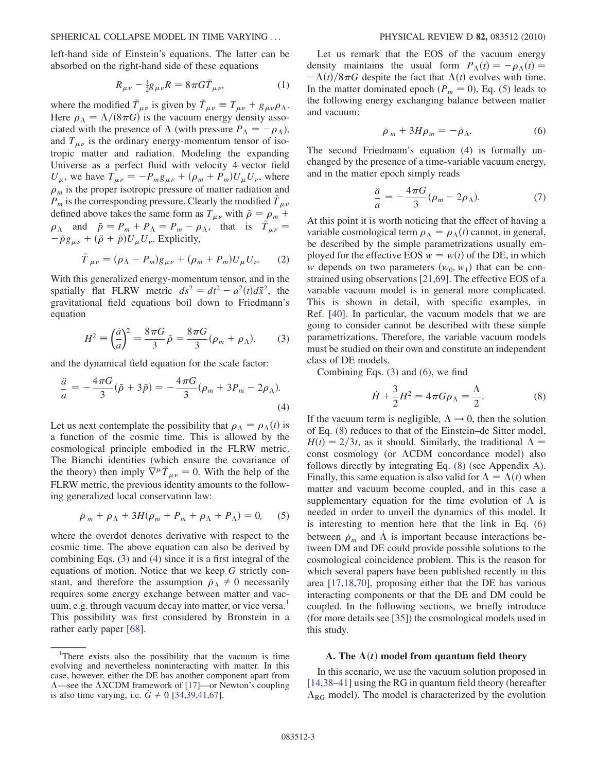left-hand side of Einstein's equations. The latter can be absorbed on the right-hand side of these equations

$$
R_{\mu\nu} - \frac{1}{2}g_{\mu\nu}R = 8\pi G\tilde{T}_{\mu\nu},\tag{1}
$$

where the modified  $\tilde{T}_{\mu\nu}$  is given by  $\tilde{T}_{\mu\nu} \equiv T_{\mu\nu} + g_{\mu\nu}\rho_{\Lambda}$ . Here  $\rho_{\Lambda} = \Lambda/(8\pi G)$  is the vacuum energy density associated with the presence of  $\Lambda$  (with pressure  $P_{\Lambda} = -\rho_{\Lambda}$ ), and  $T_{\mu\nu}$  is the ordinary energy-momentum tensor of isotropic matter and radiation. Modeling the expanding Universe as a perfect fluid with velocity 4-vector field  $U_{\mu}$ , we have  $T_{\mu\nu} = -P_m g_{\mu\nu} + (\rho_m + P_m) U_{\mu} U_{\nu}$ , where  $\rho_m$  is the proper isotropic pressure of matter radiation and  $P_m$  is the corresponding pressure. Clearly the modified  $T_{\mu\nu}$ defined above takes the same form as  $T_{\mu\nu}$  with  $\tilde{\rho} = \rho_m + \rho$  $\rho_{\Lambda}$  and  $\tilde{p} = P_m + P_{\Lambda} = P_m - \rho_{\Lambda}$ , that is  $\tilde{T}_{\mu\nu} =$  $-\tilde{p}g_{\mu\nu} + (\tilde{\rho} + \tilde{p})U_{\mu}U_{\nu}$ . Explicitly,

$$
\tilde{T}_{\mu\nu} = (\rho_{\Lambda} - P_m)g_{\mu\nu} + (\rho_m + P_m)U_{\mu}U_{\nu}.
$$
 (2)

With this generalized energy-momentum tensor, and in the spatially flat FLRW metric  $ds^2 = dt^2 - a^2(t) d\vec{x}^2$ , the gravitational field equations boil down to Friedmann's equation

<span id="page-2-0"></span>
$$
H^2 \equiv \left(\frac{\dot{a}}{a}\right)^2 = \frac{8\pi G}{3}\tilde{\rho} = \frac{8\pi G}{3}(\rho_m + \rho_\Lambda),\tag{3}
$$

<span id="page-2-1"></span>and the dynamical field equation for the scale factor:

$$
\frac{\ddot{a}}{a} = -\frac{4\pi G}{3}(\tilde{p} + 3\tilde{p}) = -\frac{4\pi G}{3}(\rho_m + 3P_m - 2\rho_\Lambda). \tag{4}
$$

Let us next contemplate the possibility that  $\rho_{\Lambda} = \rho_{\Lambda}(t)$  is a function of the cosmic time. This is allowed by the cosmological principle embodied in the FLRW metric. The Bianchi identities (which ensure the covariance of the theory) then imply  $\nabla^{\mu} \tilde{T}_{\mu\nu} = 0$ . With the help of the FLRW metric, the previous identity amounts to the following generalized local conservation law:

<span id="page-2-2"></span>
$$
\dot{\rho}_m + \dot{\rho}_\Lambda + 3H(\rho_m + P_m + \rho_\Lambda + P_\Lambda) = 0, \quad (5)
$$

where the overdot denotes derivative with respect to the cosmic time. The above equation can also be derived by combining Eqs. [\(3](#page-2-0)) and [\(4](#page-2-1)) since it is a first integral of the equations of motion. Notice that we keep G strictly constant, and therefore the assumption  $\rho_{\Lambda} \neq 0$  necessarily requires some energy exchange between matter and vacuum, e.g. through vacuum decay into matter, or vice versa.<sup>1</sup> This possibility was first considered by Bronstein in a rather early paper [\[68\]](#page-13-1).

Let us remark that the EOS of the vacuum energy density maintains the usual form  $P_{\Lambda}(t) = -\rho_{\Lambda}(t)$  $-\Lambda(t)/8\pi G$  despite the fact that  $\Lambda(t)$  evolves with time. In the matter dominated epoch ( $P_m = 0$ ), Eq. [\(5](#page-2-2)) leads to the following energy exchanging balance between matter and vacuum:

$$
\dot{\rho}_m + 3H\rho_m = -\dot{\rho}_\Lambda. \tag{6}
$$

<span id="page-2-6"></span><span id="page-2-3"></span>The second Friedmann's equation [\(4\)](#page-2-1) is formally unchanged by the presence of a time-variable vacuum energy, and in the matter epoch simply reads

$$
\frac{\ddot{a}}{a} = -\frac{4\pi G}{3}(\rho_m - 2\rho_\Lambda). \tag{7}
$$

At this point it is worth noticing that the effect of having a variable cosmological term  $\rho_{\Lambda} = \rho_{\Lambda}(t)$  cannot, in general, be described by the simple parametrizations usually employed for the effective EOS  $w = w(t)$  of the DE, in which w depends on two parameters  $(w_0, w_1)$  that can be constrained using observations [[21](#page-12-10),[69](#page-13-2)]. The effective EOS of a variable vacuum model is in general more complicated. This is shown in detail, with specific examples, in Ref. [[40\]](#page-12-34). In particular, the vacuum models that we are going to consider cannot be described with these simple parametrizations. Therefore, the variable vacuum models must be studied on their own and constitute an independent class of DE models.

<span id="page-2-4"></span>Combining Eqs. [\(3\)](#page-2-0) and ([6](#page-2-3)), we find

$$
\dot{H} + \frac{3}{2}H^2 = 4\pi G\rho_{\Lambda} = \frac{\Lambda}{2}.
$$
 (8)

If the vacuum term is negligible,  $\Lambda \rightarrow 0$ , then the solution of Eq. ([8\)](#page-2-4) reduces to that of the Einstein–de Sitter model,  $H(t) = 2/3t$ , as it should. Similarly, the traditional  $\Lambda =$ const cosmology (or  $\Lambda$ CDM concordance model) also follows directly by integrating Eq. [\(8](#page-2-4)) (see Appendix [A\)](#page-10-1). Finally, this same equation is also valid for  $\Lambda = \Lambda(t)$  when matter and vacuum become coupled, and in this case a supplementary equation for the time evolution of  $\Lambda$  is needed in order to unveil the dynamics of this model. It is interesting to mention here that the link in Eq. [\(6\)](#page-2-3) between  $\rho_m$  and  $\Lambda$  is important because interactions between DM and DE could provide possible solutions to the cosmological coincidence problem. This is the reason for which several papers have been published recently in this area [[17](#page-12-35),[18](#page-12-7),[70](#page-13-3)], proposing either that the DE has various interacting components or that the DE and DM could be coupled. In the following sections, we briefly introduce (for more details see [\[35\]](#page-12-22)) the cosmological models used in this study.

## <span id="page-2-5"></span>A. The  $\Lambda(t)$  model from quantum field theory

In this scenario, we use the vacuum solution proposed in [\[14](#page-12-26)[,38](#page-12-28)[–41\]](#page-12-30) using the RG in quantum field theory (hereafter  $\Lambda_{RG}$  model). The model is characterized by the evolution

<sup>&</sup>lt;sup>1</sup>There exists also the possibility that the vacuum is time evolving and nevertheless noninteracting with matter. In this case, however, either the DE has another component apart from  $\Lambda$ —see the  $\Lambda$ XCDM framework of [[17](#page-12-35)]—or Newton's coupling is also time varying, i.e.  $G \neq 0$  [\[34](#page-12-21)[,39,](#page-12-36)[41](#page-12-30),[67](#page-13-4)].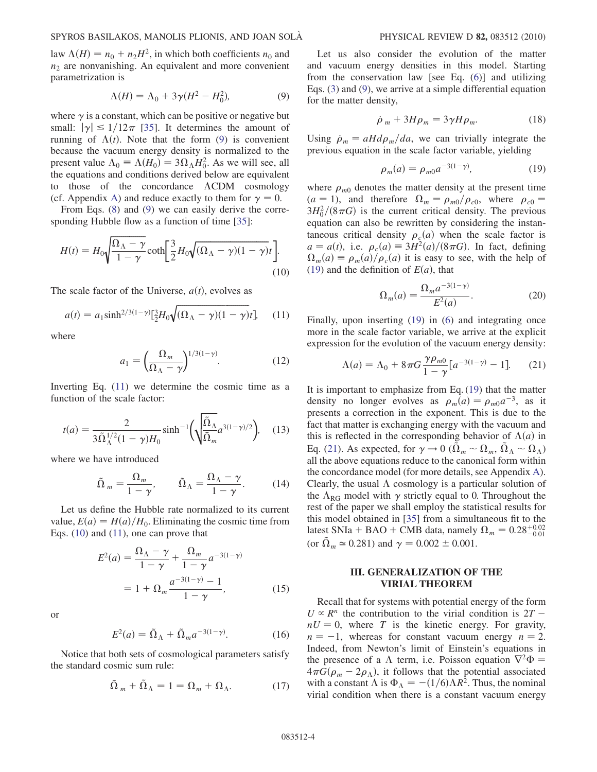<span id="page-3-1"></span>law  $\Lambda(H) = n_0 + n_2H^2$ , in which both coefficients  $n_0$  and  $n_2$  are nonvanishing. An equivalent and more convenient parametrization is

$$
\Lambda(H) = \Lambda_0 + 3\gamma(H^2 - H_0^2),\tag{9}
$$

where  $\gamma$  is a constant, which can be positive or negative but small:  $|\gamma| \le 1/12\pi$  [[35](#page-12-22)]. It determines the amount of running of  $\Lambda(t)$ . Note that the form ([9](#page-3-1)) is convenient because the vacuum energy density is normalized to the present value  $\Lambda_0 \equiv \Lambda(H_0) = 3\Omega_\Lambda H_0^2$ . As we will see, all the equations and conditions derived below are equivalent to those of the concordance  $\Lambda$ CDM cosmology (cf. [A](#page-10-1)ppendix A) and reduce exactly to them for  $\gamma = 0$ .

<span id="page-3-3"></span>From Eqs. ([8\)](#page-2-4) and ([9\)](#page-3-1) we can easily derive the corresponding Hubble flow as a function of time [[35](#page-12-22)]:

$$
H(t) = H_0 \sqrt{\frac{\Omega_\Lambda - \gamma}{1 - \gamma}} \coth\left[\frac{3}{2} H_0 \sqrt{(\Omega_\Lambda - \gamma)(1 - \gamma)}t\right].
$$
\n(10)

<span id="page-3-2"></span>The scale factor of the Universe,  $a(t)$ , evolves as

$$
a(t) = a_1 \sinh^{2/3(1-\gamma)} \left[\frac{3}{2}H_0 \sqrt{(\Omega_\Lambda - \gamma)(1-\gamma)}t\right], \quad (11)
$$

where

$$
a_1 = \left(\frac{\Omega_m}{\Omega_\Lambda - \gamma}\right)^{1/3(1-\gamma)}.\tag{12}
$$

<span id="page-3-7"></span>Inverting Eq. [\(11](#page-3-2)) we determine the cosmic time as a function of the scale factor:

$$
t(a) = \frac{2}{3\tilde{\Omega}_{\Lambda}^{1/2}(1-\gamma)H_0} \sinh^{-1}\left(\sqrt{\frac{\tilde{\Omega}_{\Lambda}}{\tilde{\Omega}_{m}}}a^{3(1-\gamma)/2}\right), \quad (13)
$$

<span id="page-3-10"></span>where we have introduced

$$
\tilde{\Omega}_m = \frac{\Omega_m}{1 - \gamma}, \qquad \tilde{\Omega}_\Lambda = \frac{\Omega_\Lambda - \gamma}{1 - \gamma}.
$$
 (14)

Let us define the Hubble rate normalized to its current value,  $E(a) = H(a)/H_0$ . Eliminating the cosmic time from Eqs. ([10](#page-3-3)) and [\(11\)](#page-3-2), one can prove that

$$
E^{2}(a) = \frac{\Omega_{\Lambda} - \gamma}{1 - \gamma} + \frac{\Omega_{m}}{1 - \gamma} a^{-3(1 - \gamma)}
$$
  
= 1 + \Omega\_{m} \frac{a^{-3(1 - \gamma)} - 1}{1 - \gamma}, (15)

<span id="page-3-8"></span>or

$$
E^2(a) = \tilde{\Omega}_{\Lambda} + \tilde{\Omega}_m a^{-3(1-\gamma)}.
$$
 (16)

<span id="page-3-11"></span>Notice that both sets of cosmological parameters satisfy the standard cosmic sum rule:

$$
\tilde{\Omega}_m + \tilde{\Omega}_\Lambda = 1 = \Omega_m + \Omega_\Lambda. \tag{17}
$$

Let us also consider the evolution of the matter and vacuum energy densities in this model. Starting from the conservation law [see Eq. [\(6](#page-2-3))] and utilizing Eqs. [\(3\)](#page-2-0) and ([9\)](#page-3-1), we arrive at a simple differential equation for the matter density,

$$
\dot{\rho}_m + 3H\rho_m = 3\gamma H\rho_m. \tag{18}
$$

<span id="page-3-6"></span><span id="page-3-4"></span>Using  $\dot{\rho}_m = aH d\rho_m/da$ , we can trivially integrate the previous equation in the scale factor variable, yielding

$$
\rho_m(a) = \rho_{m0} a^{-3(1-\gamma)}, \tag{19}
$$

where  $\rho_{m0}$  denotes the matter density at the present time  $(a = 1)$ , and therefore  $\Omega_m = \rho_{m0}/\rho_{c0}$ , where  $\rho_{c0} =$  $3H_0^2/(8\pi G)$  is the current critical density. The previous equation can also be rewritten by considering the instantaneous critical density  $\rho_c(a)$  when the scale factor is  $a = a(t)$ , i.e.  $\rho_c(a) \equiv 3H^2(a)/(8\pi G)$ . In fact, defining  $\Omega_m(a) \equiv \rho_m(a)/\rho_c(a)$  it is easy to see, with the help of [\(19\)](#page-3-4) and the definition of  $E(a)$ , that

$$
\Omega_m(a) = \frac{\Omega_m a^{-3(1-\gamma)}}{E^2(a)}.
$$
\n(20)

<span id="page-3-9"></span><span id="page-3-5"></span>Finally, upon inserting ([19](#page-3-4)) in ([6](#page-2-3)) and integrating once more in the scale factor variable, we arrive at the explicit expression for the evolution of the vacuum energy density:

$$
\Lambda(a) = \Lambda_0 + 8\pi G \frac{\gamma \rho_{m0}}{1 - \gamma} [a^{-3(1 - \gamma)} - 1].
$$
 (21)

It is important to emphasize from Eq. ([19](#page-3-4)) that the matter density no longer evolves as  $\rho_m(a) = \rho_{m0}a^{-3}$ , as it presents a correction in the exponent. This is due to the fact that matter is exchanging energy with the vacuum and this is reflected in the corresponding behavior of  $\Lambda(a)$  in Eq. ([21](#page-3-5)). As expected, for  $\gamma \to 0$  ( $\tilde{\Omega}_m \sim \Omega_m$ ,  $\tilde{\Omega}_\Lambda \sim \Omega_\Lambda$ ) all the above equations reduce to the canonical form within the concordance model (for more details, see Appendix [A\)](#page-10-1). Clearly, the usual  $\Lambda$  cosmology is a particular solution of the  $\Lambda_{RG}$  model with  $\gamma$  strictly equal to 0. Throughout the rest of the paper we shall employ the statistical results for this model obtained in [[35](#page-12-22)] from a simultaneous fit to the latest SNIa + BAO + CMB data, namely  $\Omega_m = 0.28^{+0.02}_{-0.01}$ (or  $\tilde{\Omega}_m \approx 0.281$ ) and  $\gamma = 0.002 \pm 0.001$ .

# III. GENERALIZATION OF THE VIRIAL THEOREM

<span id="page-3-0"></span>Recall that for systems with potential energy of the form  $U \propto R^n$  the contribution to the virial condition is  $2T$  $nU = 0$ , where T is the kinetic energy. For gravity,  $n = -1$ , whereas for constant vacuum energy  $n = 2$ . Indeed, from Newton's limit of Einstein's equations in the presence of a  $\Lambda$  term, i.e. Poisson equation  $\nabla^2 \Phi =$  $4\pi G(\rho_m - 2\rho_{\Lambda})$ , it follows that the potential associated with a constant  $\Lambda$  is  $\Phi_{\Lambda} = -(1/6)\Lambda R^2$ . Thus, the nominal virial condition when there is a constant vacuum energy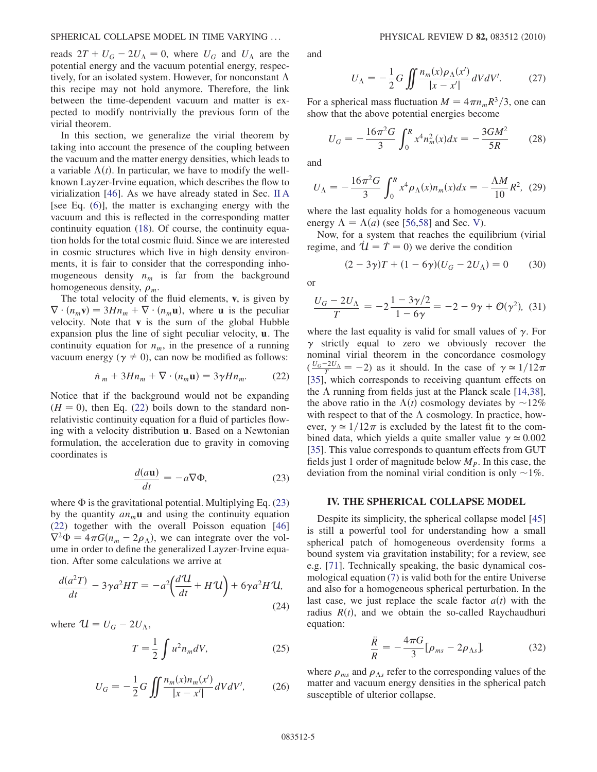reads  $2T + U_G - 2U_A = 0$ , where  $U_G$  and  $U_A$  are the potential energy and the vacuum potential energy, respectively, for an isolated system. However, for nonconstant  $\Lambda$ this recipe may not hold anymore. Therefore, the link between the time-dependent vacuum and matter is expected to modify nontrivially the previous form of the virial theorem.

In this section, we generalize the virial theorem by taking into account the presence of the coupling between the vacuum and the matter energy densities, which leads to a variable  $\Lambda(t)$ . In particular, we have to modify the wellknown Layzer-Irvine equation, which describes the flow to virialization [[46](#page-12-32)]. As we have already stated in Sec. [II A](#page-2-5) [see Eq. ([6\)](#page-2-3)], the matter is exchanging energy with the vacuum and this is reflected in the corresponding matter continuity equation ([18](#page-3-6)). Of course, the continuity equation holds for the total cosmic fluid. Since we are interested in cosmic structures which live in high density environments, it is fair to consider that the corresponding inhomogeneous density  $n_m$  is far from the background homogeneous density,  $\rho_m$ .

The total velocity of the fluid elements,  $v$ , is given by  $\nabla \cdot (n_m \mathbf{v}) = 3Hn_m + \nabla \cdot (n_m \mathbf{u})$ , where **u** is the peculiar velocity. Note that v is the sum of the global Hubble expansion plus the line of sight peculiar velocity, u. The continuity equation for  $n_m$ , in the presence of a running vacuum energy ( $\gamma \neq 0$ ), can now be modified as follows:

$$
\dot{n}_m + 3Hn_m + \nabla \cdot (n_m \mathbf{u}) = 3\gamma H n_m. \tag{22}
$$

<span id="page-4-1"></span>Notice that if the background would not be expanding  $(H = 0)$ , then Eq. [\(22\)](#page-4-1) boils down to the standard nonrelativistic continuity equation for a fluid of particles flowing with a velocity distribution u. Based on a Newtonian formulation, the acceleration due to gravity in comoving coordinates is

$$
\frac{d(a\mathbf{u})}{dt} = -a\nabla\Phi,\tag{23}
$$

<span id="page-4-2"></span>where  $\Phi$  is the gravitational potential. Multiplying Eq. [\(23\)](#page-4-2) by the quantity  $a_n \mathbf{u}$  and using the continuity equation [\(22\)](#page-4-1) together with the overall Poisson equation [\[46\]](#page-12-32)  $\nabla^2 \Phi = 4\pi G (n_m - 2\rho_\Lambda)$ , we can integrate over the volume in order to define the generalized Layzer-Irvine equation. After some calculations we arrive at

$$
\frac{d(a^2T)}{dt} - 3\gamma a^2 HT = -a^2 \left(\frac{d^2U}{dt} + HU\right) + 6\gamma a^2 HU,
$$
\n(24)

where  $U = U_G - 2U_A$ ,

$$
T = \frac{1}{2} \int u^2 n_m dV, \qquad (25)
$$

$$
U_G = -\frac{1}{2}G \iint \frac{n_m(x)n_m(x')}{|x - x'|} dV dV', \tag{26}
$$

and

$$
U_{\Lambda} = -\frac{1}{2}G \iint \frac{n_m(x)\rho_{\Lambda}(x')}{|x - x'|} dV dV'. \tag{27}
$$

<span id="page-4-5"></span>For a spherical mass fluctuation  $M = 4\pi n_m R^3/3$ , one can show that the above potential energies become

$$
U_G = -\frac{16\pi^2 G}{3} \int_0^R x^4 n_m^2(x) dx = -\frac{3GM^2}{5R} \qquad (28)
$$

<span id="page-4-6"></span>and

$$
U_{\Lambda} = -\frac{16\pi^2 G}{3} \int_0^R x^4 \rho_{\Lambda}(x) n_m(x) dx = -\frac{\Lambda M}{10} R^2, \tag{29}
$$

where the last equality holds for a homogeneous vacuum energy  $\Lambda = \Lambda(a)$  (see [\[56,](#page-13-5)[58\]](#page-13-6) and Sec. [V\)](#page-8-0).

<span id="page-4-4"></span>Now, for a system that reaches the equilibrium (virial regime, and  $\dot{\mathcal{U}} = \dot{T} = 0$ ) we derive the condition

$$
(2 - 3\gamma)T + (1 - 6\gamma)(U_G - 2U_{\Lambda}) = 0 \tag{30}
$$

or

$$
\frac{U_G - 2U_{\Lambda}}{T} = -2\frac{1 - 3\gamma/2}{1 - 6\gamma} = -2 - 9\gamma + \mathcal{O}(\gamma^2), \tag{31}
$$

where the last equality is valid for small values of  $\gamma$ . For  $\gamma$  strictly equal to zero we obviously recover the nominal virial theorem in the concordance cosmology  $(\frac{U_G-2U_A}{T}=-2)$  as it should. In the case of  $\gamma \approx 1/12\pi$ [\[35\]](#page-12-22), which corresponds to receiving quantum effects on the  $\Lambda$  running from fields just at the Planck scale [\[14,](#page-12-26)[38\]](#page-12-28), the above ratio in the  $\Lambda(t)$  cosmology deviates by  $\sim$ 12% with respect to that of the  $\Lambda$  cosmology. In practice, however,  $\gamma \approx 1/12\pi$  is excluded by the latest fit to the combined data, which yields a quite smaller value  $\gamma \approx 0.002$ [\[35\]](#page-12-22). This value corresponds to quantum effects from GUT fields just 1 order of magnitude below  $M_p$ . In this case, the deviation from the nominal virial condition is only  $\sim$ 1%.

### <span id="page-4-0"></span>IV. THE SPHERICAL COLLAPSE MODEL

Despite its simplicity, the spherical collapse model [\[45\]](#page-12-31) is still a powerful tool for understanding how a small spherical patch of homogeneous overdensity forms a bound system via gravitation instability; for a review, see e.g. [\[71\]](#page-13-7). Technically speaking, the basic dynamical cosmological equation ([7](#page-2-6)) is valid both for the entire Universe and also for a homogeneous spherical perturbation. In the last case, we just replace the scale factor  $a(t)$  with the radius  $R(t)$ , and we obtain the so-called Raychaudhuri equation:

$$
\frac{\ddot{R}}{R} = -\frac{4\pi G}{3} [\rho_{ms} - 2\rho_{\Lambda s}].
$$
 (32)

<span id="page-4-3"></span>where  $\rho_{ms}$  and  $\rho_{\Lambda s}$  refer to the corresponding values of the matter and vacuum energy densities in the spherical patch susceptible of ulterior collapse.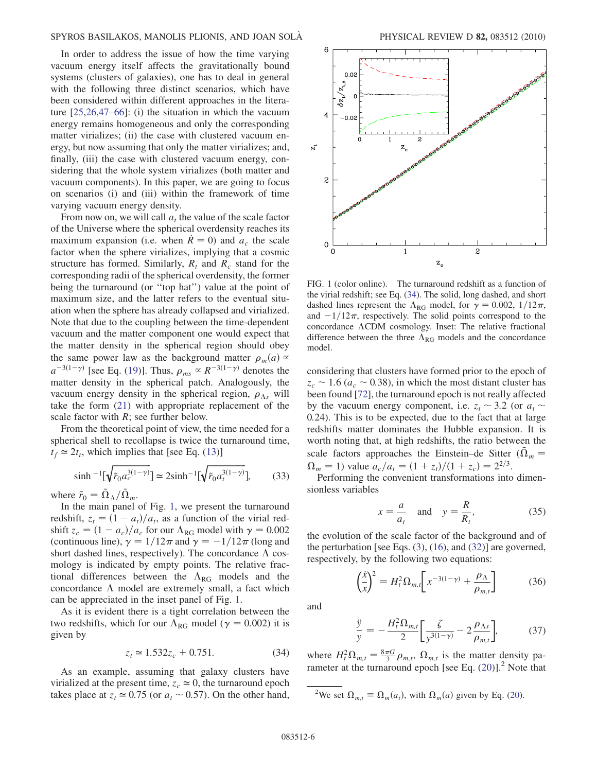In order to address the issue of how the time varying vacuum energy itself affects the gravitationally bound systems (clusters of galaxies), one has to deal in general with the following three distinct scenarios, which have been considered within different approaches in the literature [\[25](#page-12-12)[,26](#page-12-13)[,47](#page-12-33)[–66\]](#page-13-0): (i) the situation in which the vacuum energy remains homogeneous and only the corresponding matter virializes; (ii) the case with clustered vacuum energy, but now assuming that only the matter virializes; and, finally, (iii) the case with clustered vacuum energy, considering that the whole system virializes (both matter and vacuum components). In this paper, we are going to focus on scenarios (i) and (iii) within the framework of time varying vacuum energy density.

From now on, we will call  $a_t$ , the value of the scale factor of the Universe where the spherical overdensity reaches its maximum expansion (i.e. when  $\dot{R} = 0$ ) and  $a_c$  the scale factor when the sphere virializes, implying that a cosmic structure has formed. Similarly,  $R_t$  and  $R_c$  stand for the corresponding radii of the spherical overdensity, the former being the turnaround (or ''top hat'') value at the point of maximum size, and the latter refers to the eventual situation when the sphere has already collapsed and virialized. Note that due to the coupling between the time-dependent vacuum and the matter component one would expect that the matter density in the spherical region should obey the same power law as the background matter  $\rho_m(a) \propto$  $a^{-3(1-\gamma)}$  [see Eq. [\(19\)](#page-3-4)]. Thus,  $\rho_{ms} \propto R^{-3(1-\gamma)}$  denotes the matter density in the spherical patch. Analogously, the vacuum energy density in the spherical region,  $\rho_{\Lambda s}$  will take the form [\(21\)](#page-3-5) with appropriate replacement of the scale factor with  $R$ ; see further below.

From the theoretical point of view, the time needed for a spherical shell to recollapse is twice the turnaround time,  $t_f \approx 2t_t$ , which implies that [see Eq. ([13\)](#page-3-7)]

$$
\sinh^{-1}[\sqrt{\tilde{r}_0 a_c^{3(1-\gamma)}}] \simeq 2\sinh^{-1}[\sqrt{\tilde{r}_0 a_t^{3(1-\gamma)}}],\tag{33}
$$

where  $\tilde{r}_0 = \tilde{\Omega}_\Lambda / \tilde{\Omega}_m$ .

In the main panel of Fig. [1](#page-5-0), we present the turnaround redshift,  $z_t = (1 - a_t)/a_t$ , as a function of the virial redshift  $z_c = (1 - a_c)/a_c$  for our  $\Lambda_{\text{RG}}$  model with  $\gamma = 0.002$ (continuous line),  $\gamma = 1/12\pi$  and  $\gamma = -1/12\pi$  (long and short dashed lines, respectively). The concordance  $\Lambda$  cosmology is indicated by empty points. The relative fractional differences between the  $\Lambda_{RG}$  models and the concordance  $\Lambda$  model are extremely small, a fact which can be appreciated in the inset panel of Fig. [1](#page-5-0).

<span id="page-5-1"></span>As it is evident there is a tight correlation between the two redshifts, which for our  $\Lambda_{RG}$  model ( $\gamma = 0.002$ ) it is given by

$$
z_t \approx 1.532z_c + 0.751. \tag{34}
$$

As an example, assuming that galaxy clusters have virialized at the present time,  $z_c \approx 0$ , the turnaround epoch takes place at  $z_t \approx 0.75$  (or  $a_t \sim 0.57$ ). On the other hand,

<span id="page-5-0"></span>

FIG. 1 (color online). The turnaround redshift as a function of the virial redshift; see Eq. ([34](#page-5-1)). The solid, long dashed, and short dashed lines represent the  $\Lambda_{\text{RG}}$  model, for  $\gamma = 0.002, 1/12\pi$ , and  $-1/12\pi$ , respectively. The solid points correspond to the concordance ACDM cosmology. Inset: The relative fractional difference between the three  $\Lambda_{RG}$  models and the concordance model.

considering that clusters have formed prior to the epoch of  $z_c \sim 1.6$  ( $a_c \sim 0.38$ ), in which the most distant cluster has been found [[72](#page-13-8)], the turnaround epoch is not really affected by the vacuum energy component, i.e.  $z_t \sim 3.2$  (or  $a_t \sim$ 0:24). This is to be expected, due to the fact that at large redshifts matter dominates the Hubble expansion. It is worth noting that, at high redshifts, the ratio between the scale factors approaches the Einstein–de Sitter ( $\tilde{\Omega}_m$  =  $\Omega_m = 1$ ) value  $a_c/a_t = (1 + z_t)/(1 + z_c) = 2^{2/3}$ .

Performing the convenient transformations into dimensionless variables

$$
x = \frac{a}{a_t} \quad \text{and} \quad y = \frac{R}{R_t},\tag{35}
$$

<span id="page-5-2"></span>the evolution of the scale factor of the background and of the perturbation [see Eqs. ([3](#page-2-0)), [\(16\)](#page-3-8), and ([32](#page-4-3))] are governed, respectively, by the following two equations:

$$
\left(\frac{\dot{x}}{x}\right)^2 = H_t^2 \Omega_{m,t} \left[ x^{-3(1-\gamma)} + \frac{\rho_\Lambda}{\rho_{m,t}} \right] \tag{36}
$$

<span id="page-5-3"></span>and

$$
\frac{\ddot{y}}{y} = -\frac{H_t^2 \Omega_{m,t}}{2} \left[ \frac{\zeta}{y^{3(1-\gamma)}} - 2 \frac{\rho_{\Lambda s}}{\rho_{m,t}} \right],\tag{37}
$$

where  $H_t^2 \Omega_{m,t} = \frac{8\pi G}{3} \rho_{m,t}$ ,  $\Omega_{m,t}$  is the matter density parameter at the turnaround epoch [see Eq.  $(20)$  $(20)$  $(20)$ ].<sup>2</sup> Note that

<sup>2</sup>We set  $\Omega_{m,t} \equiv \Omega_m(a_t)$ , with  $\Omega_m(a)$  given by Eq. ([20\)](#page-3-9).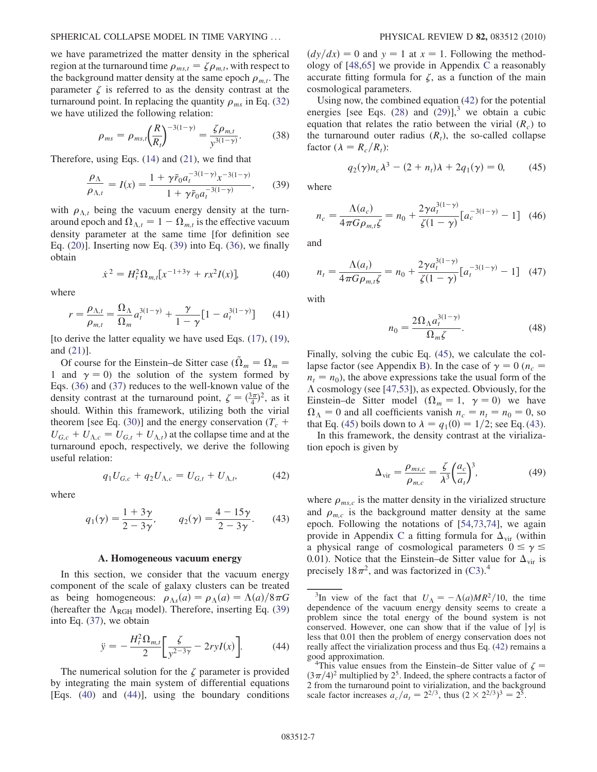## SPHERICAL COLLAPSE MODEL IN TIME VARYING ... PHYSICAL REVIEW D 82, 083512 (2010)

we have parametrized the matter density in the spherical region at the turnaround time  $\rho_{ms,t} = \zeta \rho_{m,t}$ , with respect to the background matter density at the same epoch  $\rho_{m,t}$ . The parameter  $\zeta$  is referred to as the density contrast at the turnaround point. In replacing the quantity  $\rho_{ms}$  in Eq. [\(32\)](#page-4-3) we have utilized the following relation:

$$
\rho_{ms} = \rho_{ms,t} \left(\frac{R}{R_t}\right)^{-3(1-\gamma)} = \frac{\zeta \rho_{m,t}}{y^{3(1-\gamma)}}.
$$
 (38)

<span id="page-6-0"></span>Therefore, using Eqs.  $(14)$  and  $(21)$ , we find that

$$
\frac{\rho_{\Lambda}}{\rho_{\Lambda,t}} = I(x) = \frac{1 + \gamma \tilde{r}_0 a_t^{-3(1-\gamma)} x^{-3(1-\gamma)}}{1 + \gamma \tilde{r}_0 a_t^{-3(1-\gamma)}},\qquad(39)
$$

with  $\rho_{\Lambda,t}$  being the vacuum energy density at the turnaround epoch and  $\Omega_{\Lambda,t} = 1 - \Omega_{m,t}$  is the effective vacuum density parameter at the same time [for definition see Eq. ([20](#page-3-9))]. Inserting now Eq. ([39](#page-6-0)) into Eq. [\(36\)](#page-5-2), we finally obtain

$$
\dot{x}^2 = H_t^2 \Omega_{m,t} [x^{-1+3\gamma} + rx^2 I(x)],\tag{40}
$$

<span id="page-6-1"></span>where

$$
r = \frac{\rho_{\Lambda,t}}{\rho_{m,t}} = \frac{\Omega_{\Lambda}}{\Omega_m} a_t^{3(1-\gamma)} + \frac{\gamma}{1-\gamma} [1 - a_t^{3(1-\gamma)}] \tag{41}
$$

[to derive the latter equality we have used Eqs. [\(17\)](#page-3-11), ([19\)](#page-3-4), and ([21](#page-3-5))].

Of course for the Einstein–de Sitter case ( $\tilde{\Omega}_m = \Omega_m =$ 1 and  $\gamma = 0$ ) the solution of the system formed by Eqs. ([36](#page-5-2)) and [\(37\)](#page-5-3) reduces to the well-known value of the density contrast at the turnaround point,  $\zeta = (\frac{3\pi}{4})^2$ , as it should. Within this framework, utilizing both the virial theorem [see Eq. [\(30](#page-4-4))] and the energy conservation ( $T_c$  +  $U_{G,c} + U_{\Lambda,c} = U_{G,t} + U_{\Lambda,t}$  at the collapse time and at the turnaround epoch, respectively, we derive the following useful relation:

$$
q_1 U_{G,c} + q_2 U_{\Lambda,c} = U_{G,t} + U_{\Lambda,t}, \tag{42}
$$

<span id="page-6-5"></span><span id="page-6-3"></span>where

$$
q_1(\gamma) = \frac{1+3\gamma}{2-3\gamma}
$$
,  $q_2(\gamma) = \frac{4-15\gamma}{2-3\gamma}$ . (43)

### A. Homogeneous vacuum energy

<span id="page-6-7"></span><span id="page-6-2"></span>In this section, we consider that the vacuum energy component of the scale of galaxy clusters can be treated as being homogeneous:  $\rho_{\Lambda s}(a) = \rho_{\Lambda}(a) = \Lambda(a)/8\pi G$ (hereafter the  $\Lambda_{\rm{RGH}}$  model). Therefore, inserting Eq. [\(39\)](#page-6-0) into Eq. [\(37\)](#page-5-3), we obtain

$$
\ddot{y} = -\frac{H_t^2 \Omega_{m,t}}{2} \left[ \frac{\zeta}{y^{2-3\gamma}} - 2ryI(x) \right].
$$
 (44)

The numerical solution for the  $\zeta$  parameter is provided by integrating the main system of differential equations [Eqs. [\(40\)](#page-6-1) and ([44](#page-6-2))], using the boundary conditions  $\left(\frac{dy}{dx}\right)=0$  and  $y = 1$  at  $x = 1$ . Following the methodology of [[48](#page-12-37)[,65](#page-13-9)] we provide in Appendix [C](#page-11-4) a reasonably accurate fitting formula for  $\zeta$ , as a function of the main cosmological parameters.

Using now, the combined equation ([42](#page-6-3)) for the potential energies [see Eqs.  $(28)$  $(28)$  $(28)$  and  $(29)$ ],<sup>3</sup> we obtain a cubic equation that relates the ratio between the virial  $(R<sub>c</sub>)$  to the turnaround outer radius  $(R_t)$ , the so-called collapse factor ( $\lambda = R_c/R_t$ ):

$$
q_2(\gamma)n_c\lambda^3 - (2 + n_t)\lambda + 2q_1(\gamma) = 0,
$$
 (45)

<span id="page-6-4"></span>where

$$
n_c = \frac{\Lambda(a_c)}{4\pi G \rho_{m,t} \zeta} = n_0 + \frac{2\gamma a_t^{3(1-\gamma)}}{\zeta(1-\gamma)} [a_c^{-3(1-\gamma)} - 1] \quad (46)
$$

and

$$
n_{t} = \frac{\Lambda(a_{t})}{4\pi G \rho_{m,t} \zeta} = n_{0} + \frac{2\gamma a_{t}^{3(1-\gamma)}}{\zeta(1-\gamma)} [a_{t}^{-3(1-\gamma)} - 1] \quad (47)
$$

<span id="page-6-6"></span>with

$$
n_0 = \frac{2\Omega_\Lambda a_t^{3(1-\gamma)}}{\Omega_m \zeta}.\tag{48}
$$

Finally, solving the cubic Eq. ([45](#page-6-4)), we calculate the col-lapse factor (see Appendix [B](#page-11-3)). In the case of  $\gamma = 0$  ( $n_c$  =  $n_t = n_0$ ), the above expressions take the usual form of the  $\Lambda$  cosmology (see [\[47](#page-12-33)[,53\]](#page-13-10)), as expected. Obviously, for the Einstein–de Sitter model ( $\Omega_m = 1$ ,  $\gamma = 0$ ) we have  $\Omega_{\Lambda} = 0$  and all coefficients vanish  $n_c = n_t = n_0 = 0$ , so that Eq. ([45](#page-6-4)) boils down to  $\lambda = q_1(0) = 1/2$ ; see Eq. ([43\)](#page-6-5).

<span id="page-6-8"></span>In this framework, the density contrast at the virialization epoch is given by

$$
\Delta_{\text{vir}} = \frac{\rho_{ms,c}}{\rho_{m,c}} = \frac{\zeta}{\lambda^3} \left(\frac{a_c}{a_t}\right)^3,\tag{49}
$$

where  $\rho_{ms,c}$  is the matter density in the virialized structure and  $\rho_{m,c}$  is the background matter density at the same epoch. Following the notations of [[54](#page-13-11),[73](#page-13-12),[74](#page-13-13)], we again provide in Appendix [C](#page-11-4) a fitting formula for  $\Delta_{\text{vir}}$  (within a physical range of cosmological parameters  $0 \le \gamma \le$ 0.01). Notice that the Einstein–de Sitter value for  $\Delta_{\rm vir}$  is precisely  $18\pi^2$ , and was factorized in ([C3](#page-11-5)).<sup>4</sup>

<sup>&</sup>lt;sup>3</sup>In view of the fact that  $U_{\Lambda} = -\Lambda(a)MR^2/10$ , the time dependence of the vacuum energy density seems to create a problem since the total energy of the bound system is not conserved. However, one can show that if the value of  $|\gamma|$  is less that 0.01 then the problem of energy conservation does not really affect the virialization process and thus Eq. [\(42\)](#page-6-3) remains a good approximation. <sup>4</sup>

<sup>&</sup>lt;sup>4</sup>This value ensues from the Einstein–de Sitter value of  $\zeta$  =  $(3\pi/4)^2$  multiplied by 2<sup>5</sup>. Indeed, the sphere contracts a factor of 2 from the turnaround point to virialization, and the background scale factor increases  $a_c/a_t = 2^{2/3}$ , thus  $(2 \times 2^{2/3})^3 = 2^5$ .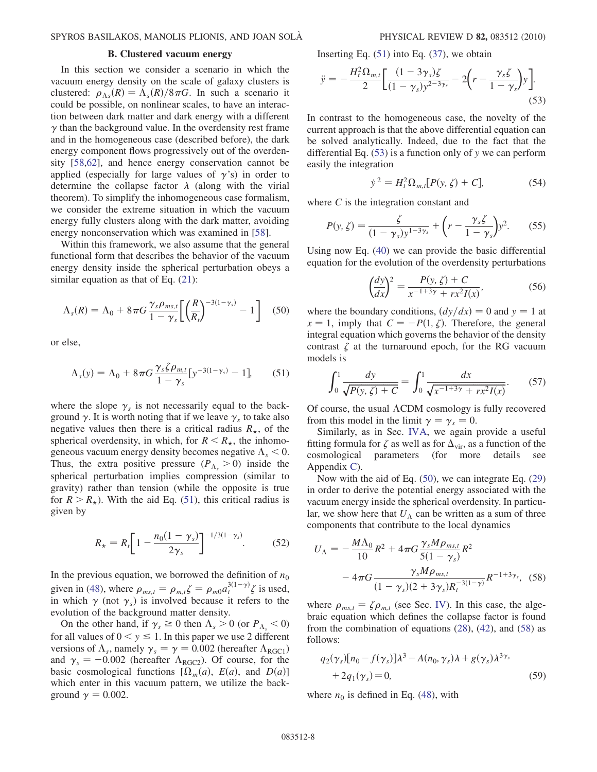# B. Clustered vacuum energy

In this section we consider a scenario in which the vacuum energy density on the scale of galaxy clusters is clustered:  $\rho_{\Lambda s}(R) = \Lambda_s(R)/8\pi G$ . In such a scenario it could be possible, on nonlinear scales, to have an interaction between dark matter and dark energy with a different  $\gamma$  than the background value. In the overdensity rest frame and in the homogeneous case (described before), the dark energy component flows progressively out of the overdensity [[58](#page-13-6)[,62](#page-13-14)], and hence energy conservation cannot be applied (especially for large values of  $\gamma$ 's) in order to determine the collapse factor  $\lambda$  (along with the virial theorem). To simplify the inhomogeneous case formalism, we consider the extreme situation in which the vacuum energy fully clusters along with the dark matter, avoiding energy nonconservation which was examined in [[58](#page-13-6)].

Within this framework, we also assume that the general functional form that describes the behavior of the vacuum energy density inside the spherical perturbation obeys a similar equation as that of Eq.  $(21)$ :

<span id="page-7-2"></span>
$$
\Lambda_s(R) = \Lambda_0 + 8\pi G \frac{\gamma_s \rho_{ms,t}}{1 - \gamma_s} \left[ \left( \frac{R}{R_t} \right)^{-3(1 - \gamma_s)} - 1 \right] \quad (50)
$$

<span id="page-7-0"></span>or else,

$$
\Lambda_s(y) = \Lambda_0 + 8\pi G \frac{\gamma_s \zeta \rho_{m,t}}{1 - \gamma_s} [y^{-3(1 - \gamma_s)} - 1], \quad (51)
$$

where the slope  $\gamma_s$  is not necessarily equal to the background  $\gamma$ . It is worth noting that if we leave  $\gamma_s$  to take also negative values then there is a critical radius  $R_{\star}$ , of the spherical overdensity, in which, for  $R < R_{\star}$ , the inhomogeneous vacuum energy density becomes negative  $\Lambda_s < 0$ . Thus, the extra positive pressure  $(P_{\Lambda_{\varepsilon}} > 0)$  inside the spherical perturbation implies compression (similar to gravity) rather than tension (while the opposite is true for  $R > R_{\star}$ ). With the aid Eq. ([51](#page-7-0)), this critical radius is given by

$$
R_{\star} = R_{t} \bigg[ 1 - \frac{n_{0}(1 - \gamma_{s})}{2\gamma_{s}} \bigg]^{-1/3(1 - \gamma_{s})}.
$$
 (52)

In the previous equation, we borrowed the definition of  $n_0$ given in [\(48\)](#page-6-6), where  $\rho_{ms,t} = \rho_{m,t} \zeta = \rho_{m0} a_t^{3(1-\gamma)} \zeta$  is used, in which  $\gamma$  (not  $\gamma_s$ ) is involved because it refers to the evolution of the background matter density.

On the other hand, if  $\gamma_s \ge 0$  then  $\Lambda_s > 0$  (or  $P_\Lambda < 0$ ) for all values of  $0 < y \le 1$ . In this paper we use 2 different versions of  $\Lambda_s$ , namely  $\gamma_s = \gamma = 0.002$  (hereafter  $\Lambda_{\text{RGC1}}$ ) and  $\gamma_s = -0.002$  (hereafter  $\Lambda_{\text{RGC2}}$ ). Of course, for the basic cosmological functions  $[\Omega_m(a), E(a), \text{ and } D(a)]$ which enter in this vacuum pattern, we utilize the background  $\gamma = 0.002$ .

<span id="page-7-1"></span>Inserting Eq.  $(51)$  into Eq.  $(37)$  $(37)$  $(37)$ , we obtain

$$
\ddot{y} = -\frac{H_t^2 \Omega_{m,t}}{2} \left[ \frac{(1 - 3\gamma_s)\zeta}{(1 - \gamma_s)y^{2 - 3\gamma_s}} - 2\left(r - \frac{\gamma_s\zeta}{1 - \gamma_s}\right)y \right].
$$
\n(53)

In contrast to the homogeneous case, the novelty of the current approach is that the above differential equation can be solved analytically. Indeed, due to the fact that the differential Eq.  $(53)$  is a function only of y we can perform easily the integration

$$
\dot{y}^2 = H_t^2 \Omega_{m,t} [P(y, \zeta) + C], \tag{54}
$$

where  $C$  is the integration constant and

$$
P(y,\zeta) = \frac{\zeta}{(1-\gamma_s)y^{1-3\gamma_s}} + \left(r - \frac{\gamma_s\zeta}{1-\gamma_s}\right)y^2. \tag{55}
$$

Using now Eq. ([40](#page-6-1)) we can provide the basic differential equation for the evolution of the overdensity perturbations

$$
\left(\frac{dy}{dx}\right)^2 = \frac{P(y,\zeta) + C}{x^{-1+3\gamma} + rx^2 I(x)},\tag{56}
$$

where the boundary conditions,  $\left(\frac{dy}{dx}\right)=0$  and  $y=1$  at  $x = 1$ , imply that  $C = -P(1, \zeta)$ . Therefore, the general integral equation which governs the behavior of the density contrast  $\zeta$  at the turnaround epoch, for the RG vacuum models is

<span id="page-7-4"></span>
$$
\int_0^1 \frac{dy}{\sqrt{P(y,\zeta) + C}} = \int_0^1 \frac{dx}{\sqrt{x^{-1+3\gamma} + rx^2 I(x)}}.
$$
 (57)

Of course, the usual  $\Lambda$ CDM cosmology is fully recovered from this model in the limit  $\gamma = \gamma_s = 0$ .

Similarly, as in Sec. [IVA,](#page-6-7) we again provide a useful fitting formula for  $\zeta$  as well as for  $\Delta_{\rm vir}$ , as a function of the cosmological parameters (for more details see Appendix [C](#page-11-4)).

Now with the aid of Eq. ([50](#page-7-2)), we can integrate Eq. [\(29\)](#page-4-6) in order to derive the potential energy associated with the vacuum energy inside the spherical overdensity. In particular, we show here that  $U_A$  can be written as a sum of three components that contribute to the local dynamics

<span id="page-7-3"></span>
$$
U_{\Lambda} = -\frac{M\Lambda_0}{10}R^2 + 4\pi G \frac{\gamma_s M \rho_{ms,t}}{5(1-\gamma_s)}R^2
$$

$$
-4\pi G \frac{\gamma_s M \rho_{ms,t}}{(1-\gamma_s)(2+3\gamma_s)R_t^{-3(1-\gamma)}}R^{-1+3\gamma_s}, \quad (58)
$$

where  $\rho_{ms,t} = \zeta \rho_{m,t}$  (see Sec. [IV\)](#page-4-0). In this case, the algebraic equation which defines the collapse factor is found from the combination of equations  $(28)$ ,  $(42)$ , and  $(58)$  as follows:

<span id="page-7-5"></span>
$$
q_2(\gamma_s)[n_0 - f(\gamma_s)]\lambda^3 - A(n_0, \gamma_s)\lambda + g(\gamma_s)\lambda^{3\gamma_s}
$$
  
+ 2q\_1(\gamma\_s) = 0, (59)

where  $n_0$  is defined in Eq. [\(48\)](#page-6-6), with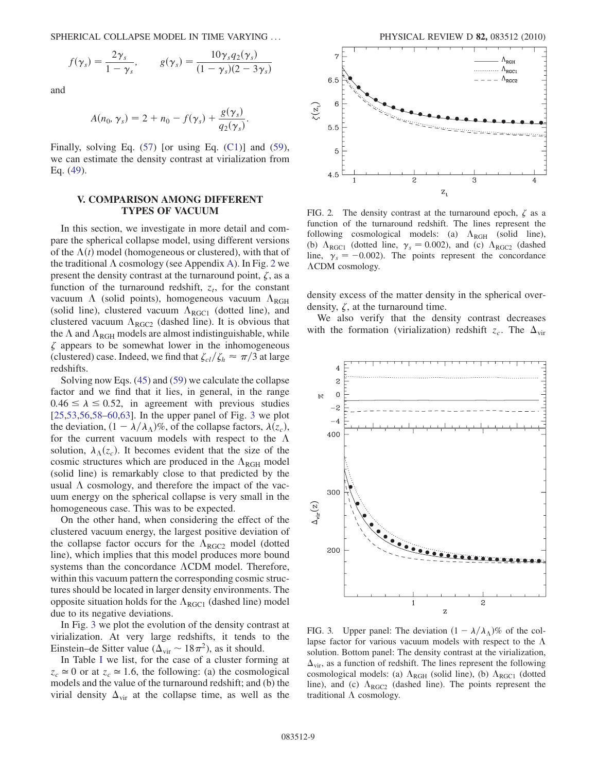SPHERICAL COLLAPSE MODEL IN TIME VARYING ... PHYSICAL REVIEW D 82, 083512 (2010)

$$
f(\gamma_s) = \frac{2\gamma_s}{1 - \gamma_s}, \qquad g(\gamma_s) = \frac{10\gamma_s q_2(\gamma_s)}{(1 - \gamma_s)(2 - 3\gamma_s)}
$$

and

$$
A(n_0, \gamma_s) = 2 + n_0 - f(\gamma_s) + \frac{g(\gamma_s)}{q_2(\gamma_s)}.
$$

Finally, solving Eq.  $(57)$  $(57)$  $(57)$  [or using Eq.  $(C1)$  $(C1)$  $(C1)$ ] and  $(59)$ , we can estimate the density contrast at virialization from Eq. ([49](#page-6-8)).

# <span id="page-8-0"></span>V. COMPARISON AMONG DIFFERENT TYPES OF VACUUM

In this section, we investigate in more detail and compare the spherical collapse model, using different versions of the  $\Lambda(t)$  model (homogeneous or clustered), with that of the traditional  $\Lambda$  cosmology (see [A](#page-10-1)ppendix A). In Fig. [2](#page-8-1) we present the density contrast at the turnaround point,  $\zeta$ , as a function of the turnaround redshift,  $z_t$ , for the constant vacuum  $\Lambda$  (solid points), homogeneous vacuum  $\Lambda_{\text{RGH}}$ (solid line), clustered vacuum  $\Lambda_{\text{RGC1}}$  (dotted line), and clustered vacuum  $\Lambda_{\text{RGC2}}$  (dashed line). It is obvious that the  $\Lambda$  and  $\Lambda_{\text{RGH}}$  models are almost indistinguishable, while  $\zeta$  appears to be somewhat lower in the inhomogeneous (clustered) case. Indeed, we find that  $\zeta_{cl}/\zeta_h \approx \pi/3$  at large redshifts.

Solving now Eqs. ([45](#page-6-4)) and ([59](#page-7-5)) we calculate the collapse factor and we find that it lies, in general, in the range  $0.46 \le \lambda \le 0.52$ , in agreement with previous studies [\[25](#page-12-12)[,53,](#page-13-10)[56](#page-13-5),[58](#page-13-6)[–60](#page-13-15)[,63\]](#page-13-16). In the upper panel of Fig. [3](#page-8-2) we plot the deviation,  $(1 - \lambda/\lambda_\Lambda)\%$ , of the collapse factors,  $\lambda(z_c)$ , for the current vacuum models with respect to the  $\Lambda$ solution,  $\lambda_{\Lambda}(z_c)$ . It becomes evident that the size of the cosmic structures which are produced in the  $\Lambda_{\text{RGH}}$  model (solid line) is remarkably close to that predicted by the usual  $\Lambda$  cosmology, and therefore the impact of the vacuum energy on the spherical collapse is very small in the homogeneous case. This was to be expected.

On the other hand, when considering the effect of the clustered vacuum energy, the largest positive deviation of the collapse factor occurs for the  $\Lambda_{\text{RGC2}}$  model (dotted line), which implies that this model produces more bound systems than the concordance  $\Lambda$ CDM model. Therefore, within this vacuum pattern the corresponding cosmic structures should be located in larger density environments. The opposite situation holds for the  $\Lambda_{\text{RGC1}}$  (dashed line) model due to its negative deviations.

In Fig. [3](#page-8-2) we plot the evolution of the density contrast at virialization. At very large redshifts, it tends to the Einstein–de Sitter value ( $\Delta_{\text{vir}} \sim 18\pi^2$ ), as it should.

In Table [I](#page-9-0) we list, for the case of a cluster forming at  $z_c \approx 0$  or at  $z_c \approx 1.6$ , the following: (a) the cosmological models and the value of the turnaround redshift; and (b) the virial density  $\Delta_{\text{vir}}$  at the collapse time, as well as the

<span id="page-8-1"></span>

FIG. 2. The density contrast at the turnaround epoch,  $\zeta$  as a function of the turnaround redshift. The lines represent the following cosmological models: (a)  $\Lambda_{\text{RGH}}$  (solid line), (b)  $\Lambda_{\text{RGC1}}$  (dotted line,  $\gamma_s = 0.002$ ), and (c)  $\Lambda_{\text{RGC2}}$  (dashed line,  $\gamma_s = -0.002$ ). The points represent the concordance CDM cosmology.

density excess of the matter density in the spherical overdensity,  $\zeta$ , at the turnaround time.

We also verify that the density contrast decreases with the formation (virialization) redshift  $z_c$ . The  $\Delta_{\rm vir}$ 

<span id="page-8-2"></span>

FIG. 3. Upper panel: The deviation  $(1 - \lambda/\lambda_0)\%$  of the collapse factor for various vacuum models with respect to the  $\Lambda$ solution. Bottom panel: The density contrast at the virialization,  $\Delta_{\text{vir}}$ , as a function of redshift. The lines represent the following cosmological models: (a)  $\Lambda_{\text{RGH}}$  (solid line), (b)  $\Lambda_{\text{RGC1}}$  (dotted line), and (c)  $\Lambda_{\text{RGC2}}$  (dashed line). The points represent the traditional  $\Lambda$  cosmology.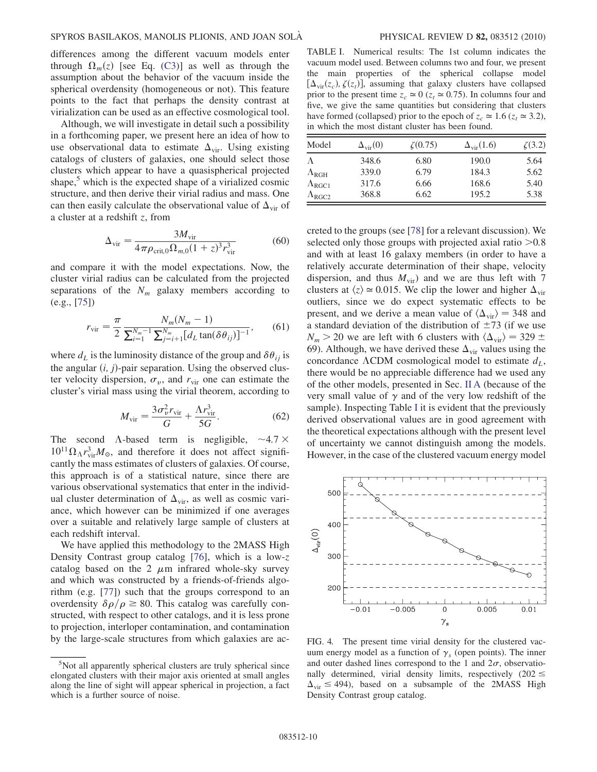differences among the different vacuum models enter through  $\Omega_m(z)$  [see Eq. [\(C3\)](#page-11-5)] as well as through the assumption about the behavior of the vacuum inside the spherical overdensity (homogeneous or not). This feature points to the fact that perhaps the density contrast at virialization can be used as an effective cosmological tool.

Although, we will investigate in detail such a possibility in a forthcoming paper, we present here an idea of how to use observational data to estimate  $\Delta_{\rm vir}$ . Using existing catalogs of clusters of galaxies, one should select those clusters which appear to have a quasispherical projected shape,<sup>5</sup> which is the expected shape of a virialized cosmic structure, and then derive their virial radius and mass. One can then easily calculate the observational value of  $\Delta_{\rm vir}$  of a cluster at a redshift z, from

$$
\Delta_{\rm vir} = \frac{3M_{\rm vir}}{4\pi\rho_{\rm crit,0}\Omega_{m,0}(1+z)^3r_{\rm vir}^3}
$$
(60)

and compare it with the model expectations. Now, the cluster virial radius can be calculated from the projected separations of the  $N_m$  galaxy members according to (e.g., [[75](#page-13-17)])

$$
r_{\text{vir}} = \frac{\pi}{2} \frac{N_m (N_m - 1)}{\sum_{i=1}^{N_m - 1} \sum_{j=i+1}^{N_m} [d_L \tan(\delta \theta_{ij})]^{-1}},
$$
(61)

where  $d_L$  is the luminosity distance of the group and  $\delta\theta_{ij}$  is the angular  $(i, j)$ -pair separation. Using the observed cluster velocity dispersion,  $\sigma_v$ , and  $r_{\rm vir}$  one can estimate the cluster's virial mass using the virial theorem, according to

$$
M_{\rm vir} = \frac{3\sigma_v^2 r_{\rm vir}}{G} + \frac{\Lambda r_{\rm vir}^3}{5G}.
$$
 (62)

The second  $\Lambda$ -based term is negligible,  $\sim$  4.7  $\times$  $10^{11} \Omega_{\Lambda} r_{\text{vir}}^3 M_{\odot}$ , and therefore it does not affect significantly the mass estimates of clusters of galaxies. Of course, this approach is of a statistical nature, since there are various observational systematics that enter in the individual cluster determination of  $\Delta_{\rm vir}$ , as well as cosmic variance, which however can be minimized if one averages over a suitable and relatively large sample of clusters at each redshift interval.

We have applied this methodology to the 2MASS High Density Contrast group catalog [[76](#page-13-18)], which is a low-z catalog based on the 2  $\mu$ m infrared whole-sky survey and which was constructed by a friends-of-friends algorithm (e.g. [\[77\]](#page-13-19)) such that the groups correspond to an overdensity  $\delta \rho / \rho \geq 80$ . This catalog was carefully constructed, with respect to other catalogs, and it is less prone to projection, interloper contamination, and contamination by the large-scale structures from which galaxies are ac-

<span id="page-9-0"></span>TABLE I. Numerical results: The 1st column indicates the vacuum model used. Between columns two and four, we present the main properties of the spherical collapse model  $[\Delta_{\rm vir}(z_c), \zeta(z_t)]$ , assuming that galaxy clusters have collapsed prior to the present time  $z_c \approx 0$  ( $z_t \approx 0.75$ ). In columns four and five, we give the same quantities but considering that clusters have formed (collapsed) prior to the epoch of  $z_c \approx 1.6$  ( $z_t \approx 3.2$ ), in which the most distant cluster has been found.

| Model                | $\Delta_{\rm vir}(0)$ | $\zeta(0.75)$ | $\Delta_{\rm vir}(1.6)$ | $\zeta(3.2)$ |
|----------------------|-----------------------|---------------|-------------------------|--------------|
|                      | 348.6                 | 6.80          | 190.0                   | 5.64         |
| $\Lambda_{\rm RGH}$  | 339.0                 | 6.79          | 184.3                   | 5.62         |
| $\Lambda_{\rm RGC1}$ | 317.6                 | 6.66          | 168.6                   | 5.40         |
| $\Lambda_{\rm RGC2}$ | 368.8                 | 6.62          | 195.2                   | 5.38         |

creted to the groups (see [\[78\]](#page-13-20) for a relevant discussion). We selected only those groups with projected axial ratio  $>0.8$ and with at least 16 galaxy members (in order to have a relatively accurate determination of their shape, velocity dispersion, and thus  $M_{\text{vir}}$ ) and we are thus left with 7 clusters at  $\langle z \rangle \approx 0.015$ . We clip the lower and higher  $\Delta_{\rm vir}$ outliers, since we do expect systematic effects to be present, and we derive a mean value of  $\langle \Delta_{\rm vir} \rangle = 348$  and a standard deviation of the distribution of  $\pm 73$  (if we use  $N_m > 20$  we are left with 6 clusters with  $\langle \Delta_{\rm vir} \rangle = 329 \pm 10$ 69). Although, we have derived these  $\Delta_{\text{vir}}$  values using the concordance  $\Lambda$ CDM cosmological model to estimate  $d_L$ , there would be no appreciable difference had we used any of the other models, presented in Sec. [II A](#page-2-5) (because of the very small value of  $\gamma$  and of the very low redshift of the sample). Inspecting Table [I](#page-9-0) it is evident that the previously derived observational values are in good agreement with the theoretical expectations although with the present level of uncertainty we cannot distinguish among the models. However, in the case of the clustered vacuum energy model

<span id="page-9-1"></span>

FIG. 4. The present time virial density for the clustered vacuum energy model as a function of  $\gamma_s$  (open points). The inner and outer dashed lines correspond to the 1 and  $2\sigma$ , observationally determined, virial density limits, respectively  $(202 \le$  $\Delta_{\text{vir}} \leq 494$ ), based on a subsample of the 2MASS High Density Contrast group catalog.

<sup>5</sup> Not all apparently spherical clusters are truly spherical since elongated clusters with their major axis oriented at small angles along the line of sight will appear spherical in projection, a fact which is a further source of noise.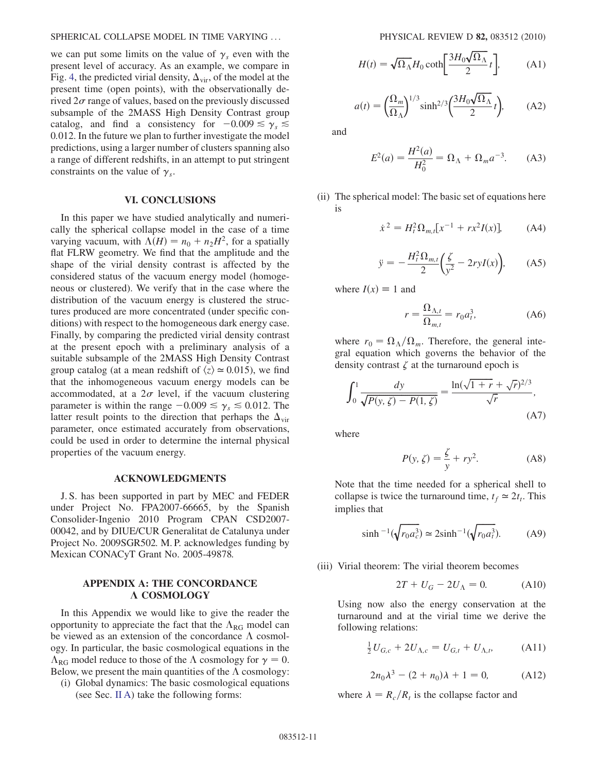we can put some limits on the value of  $\gamma_s$  even with the present level of accuracy. As an example, we compare in Fig. [4](#page-9-1), the predicted virial density,  $\Delta_{\rm vir}$ , of the model at the present time (open points), with the observationally derived  $2\sigma$  range of values, based on the previously discussed subsample of the 2MASS High Density Contrast group catalog, and find a consistency for  $-0.009 \le \gamma_s \le$ 0:012. In the future we plan to further investigate the model predictions, using a larger number of clusters spanning also a range of different redshifts, in an attempt to put stringent constraints on the value of  $\gamma_s$ .

### VI. CONCLUSIONS

<span id="page-10-0"></span>In this paper we have studied analytically and numerically the spherical collapse model in the case of a time varying vacuum, with  $\Lambda(H) = n_0 + n_2H^2$ , for a spatially flat FLRW geometry. We find that the amplitude and the shape of the virial density contrast is affected by the considered status of the vacuum energy model (homogeneous or clustered). We verify that in the case where the distribution of the vacuum energy is clustered the structures produced are more concentrated (under specific conditions) with respect to the homogeneous dark energy case. Finally, by comparing the predicted virial density contrast at the present epoch with a preliminary analysis of a suitable subsample of the 2MASS High Density Contrast group catalog (at a mean redshift of  $\langle z \rangle \approx 0.015$ ), we find that the inhomogeneous vacuum energy models can be accommodated, at a  $2\sigma$  level, if the vacuum clustering parameter is within the range  $-0.009 \le \gamma_s \le 0.012$ . The latter result points to the direction that perhaps the  $\Delta_{\text{vir}}$ parameter, once estimated accurately from observations, could be used in order to determine the internal physical properties of the vacuum energy.

#### ACKNOWLEDGMENTS

J. S. has been supported in part by MEC and FEDER under Project No. FPA2007-66665, by the Spanish Consolider-Ingenio 2010 Program CPAN CSD2007- 00042, and by DIUE/CUR Generalitat de Catalunya under Project No. 2009SGR502. M. P. acknowledges funding by Mexican CONACyT Grant No. 2005-49878.

# <span id="page-10-1"></span>APPENDIX A: THE CONCORDANCE A COSMOLOGY

In this Appendix we would like to give the reader the opportunity to appreciate the fact that the  $\Lambda_{RG}$  model can be viewed as an extension of the concordance  $\Lambda$  cosmology. In particular, the basic cosmological equations in the  $\Lambda_{\rm RG}$  model reduce to those of the  $\Lambda$  cosmology for  $\gamma = 0$ . Below, we present the main quantities of the  $\Lambda$  cosmology:

(i) Global dynamics: The basic cosmological equations (see Sec. [II A](#page-2-5)) take the following forms:

$$
H(t) = \sqrt{\Omega_{\Lambda}} H_0 \coth\left[\frac{3H_0\sqrt{\Omega_{\Lambda}}}{2}t\right],\tag{A1}
$$

$$
a(t) = \left(\frac{\Omega_m}{\Omega_\Lambda}\right)^{1/3} \sinh^{2/3} \left(\frac{3H_0 \sqrt{\Omega_\Lambda}}{2} t\right), \quad (A2)
$$

and

$$
E^{2}(a) = \frac{H^{2}(a)}{H_{0}^{2}} = \Omega_{\Lambda} + \Omega_{m} a^{-3}.
$$
 (A3)

(ii) The spherical model: The basic set of equations here is

$$
\dot{x}^2 = H_t^2 \Omega_{m,t} [x^{-1} + rx^2 I(x)], \qquad (A4)
$$

$$
\ddot{y} = -\frac{H_t^2 \Omega_{m,t}}{2} \left( \frac{\zeta}{y^2} - 2ryI(x) \right), \quad (A5)
$$

where  $I(x) \equiv 1$  and

$$
r = \frac{\Omega_{\Lambda,t}}{\Omega_{m,t}} = r_0 a_t^3, \tag{A6}
$$

where  $r_0 = \Omega_{\Lambda}/\Omega_m$ . Therefore, the general integral equation which governs the behavior of the density contrast  $\zeta$  at the turnaround epoch is

$$
\int_0^1 \frac{dy}{\sqrt{P(y,\zeta) - P(1,\zeta)}} = \frac{\ln(\sqrt{1+r} + \sqrt{r})^{2/3}}{\sqrt{r}},
$$
\n(A7)

where

$$
P(y, \zeta) = \frac{\zeta}{y} + ry^2. \tag{A8}
$$

Note that the time needed for a spherical shell to collapse is twice the turnaround time,  $t_f \approx 2t_t$ . This implies that

$$
\sinh^{-1}(\sqrt{r_0 a_c^3}) \simeq 2 \sinh^{-1}(\sqrt{r_0 a_t^3}).\tag{A9}
$$

(iii) Virial theorem: The virial theorem becomes

$$
2T + U_G - 2U_\Lambda = 0. \tag{A10}
$$

Using now also the energy conservation at the turnaround and at the virial time we derive the following relations:

$$
\frac{1}{2}U_{G,c} + 2U_{\Lambda,c} = U_{G,t} + U_{\Lambda,t}, \quad (A11)
$$

$$
2n_0\lambda^3 - (2 + n_0)\lambda + 1 = 0,
$$
 (A12)

where  $\lambda = R_c/R_t$  is the collapse factor and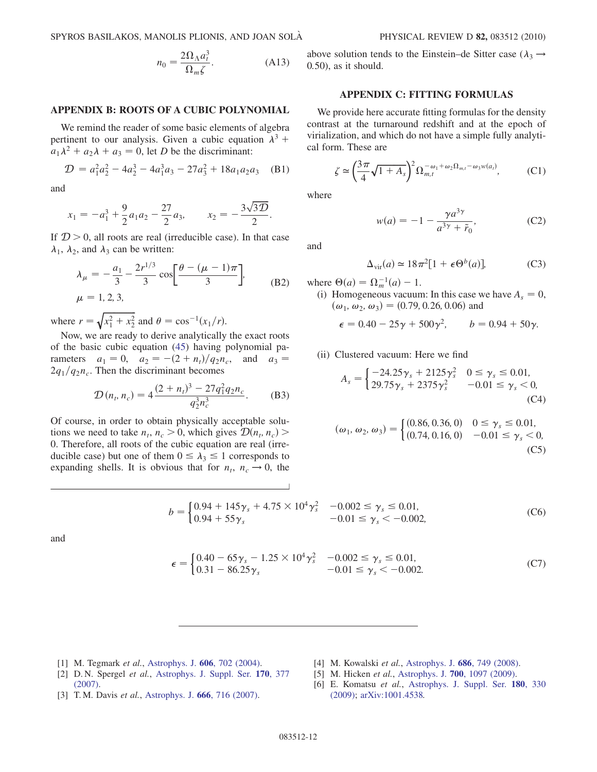$$
n_0 = \frac{2\Omega_\Lambda a_i^3}{\Omega_m \zeta}.
$$
 (A13)

## APPENDIX B: ROOTS OF A CUBIC POLYNOMIAL

We remind the reader of some basic elements of algebra pertinent to our analysis. Given a cubic equation  $\lambda^3$  +  $a_1\lambda^2 + a_2\lambda + a_3 = 0$ , let D be the discriminant:

$$
\mathcal{D} = a_1^2 a_2^2 - 4a_2^3 - 4a_1^3 a_3 - 27a_3^2 + 18a_1 a_2 a_3 \quad \text{(B1)}
$$

<span id="page-11-3"></span>and

$$
x_1 = -a_1^3 + \frac{9}{2}a_1a_2 - \frac{27}{2}a_3, \qquad x_2 = -\frac{3\sqrt{3D}}{2}.
$$

If  $D > 0$ , all roots are real (irreducible case). In that case  $\lambda_1$ ,  $\lambda_2$ , and  $\lambda_3$  can be written:

$$
\lambda_{\mu} = -\frac{a_1}{3} - \frac{2r^{1/3}}{3} \cos \left[ \frac{\theta - (\mu - 1)\pi}{3} \right],
$$
\n(B2)  
\n
$$
\mu = 1, 2, 3,
$$

where  $r = \sqrt{x_1^2 + x_2^2}$  and  $\theta = \cos^{-1}(x_1/r)$ .

Now, we are ready to derive analytically the exact roots of the basic cubic equation ([45](#page-6-4)) having polynomial parameters  $a_1 = 0$ ,  $a_2 = -(2 + n_t)/q_2n_c$ , and  $a_3 =$  $2q_1/q_2n_c$ . Then the discriminant becomes

$$
\mathcal{D}(n_t, n_c) = 4 \frac{(2 + n_t)^3 - 27q_1^2 q_2 n_c}{q_2^3 n_c^3}.
$$
 (B3)

Of course, in order to obtain physically acceptable solutions we need to take  $n_t$ ,  $n_c > 0$ , which gives  $\mathcal{D}(n_t, n_c)$ 0. Therefore, all roots of the cubic equation are real (irreducible case) but one of them  $0 \leq \lambda_3 \leq 1$  corresponds to expanding shells. It is obvious that for  $n_t$ ,  $n_c \rightarrow 0$ , the above solution tends to the Einstein–de Sitter case ( $\lambda_3 \rightarrow$ 0:50), as it should.

## APPENDIX C: FITTING FORMULAS

We provide here accurate fitting formulas for the density contrast at the turnaround redshift and at the epoch of virialization, and which do not have a simple fully analytical form. These are

<span id="page-11-6"></span>
$$
\zeta \simeq \left(\frac{3\pi}{4}\sqrt{1+A_s}\right)^2 \Omega_{m,t}^{-\omega_1+\omega_2\Omega_{m,t}-\omega_3 w(a_t)},\tag{C1}
$$

where

$$
w(a) = -1 - \frac{\gamma a^{3\gamma}}{a^{3\gamma} + \tilde{r}_0},\tag{C2}
$$

<span id="page-11-5"></span>and

$$
\Delta_{\rm vir}(a) \simeq 18\pi^2 [1 + \epsilon \Theta^b(a)],\tag{C3}
$$

where  $\Theta(a) = \Omega_m^{-1}(a) - 1$ .

<span id="page-11-4"></span>(i) Homogeneous vacuum: In this case we have  $A_s = 0$ ,  $(\omega_1, \omega_2, \omega_3) = (0.79, 0.26, 0.06)$  and

$$
\epsilon = 0.40 - 25\gamma + 500\gamma^2
$$
,  $b = 0.94 + 50\gamma$ .

### (ii) Clustered vacuum: Here we find

$$
A_s = \begin{cases} -24.25\gamma_s + 2125\gamma_s^2 & 0 \le \gamma_s \le 0.01, \\ 29.75\gamma_s + 2375\gamma_s^2 & -0.01 \le \gamma_s < 0, \\ (C4) \end{cases}
$$

$$
(\omega_1, \omega_2, \omega_3) = \begin{cases} (0.86, 0.36, 0) & 0 \le \gamma_s \le 0.01, \\ (0.74, 0.16, 0) & -0.01 \le \gamma_s < 0, \end{cases}
$$
 (C5)

$$
b = \begin{cases} 0.94 + 145\gamma_s + 4.75 \times 10^4 \gamma_s^2 & -0.002 \le \gamma_s \le 0.01, \\ 0.94 + 55\gamma_s & -0.01 \le \gamma_s < -0.002, \end{cases}
$$
 (C6)

and

$$
\epsilon = \begin{cases} 0.40 - 65\gamma_s - 1.25 \times 10^4 \gamma_s^2 & -0.002 \le \gamma_s \le 0.01, \\ 0.31 - 86.25\gamma_s & -0.01 \le \gamma_s < -0.002. \end{cases}
$$
(C7)

- <span id="page-11-0"></span>[1] M. Tegmark et al., [Astrophys. J.](http://dx.doi.org/10.1086/382125) 606, 702 (2004).
- [2] D. N. Spergel et al., [Astrophys. J. Suppl. Ser.](http://dx.doi.org/10.1086/513700) 170, 377 [\(2007\)](http://dx.doi.org/10.1086/513700).
- <span id="page-11-2"></span>[3] T.M. Davis et al., [Astrophys. J.](http://dx.doi.org/10.1086/519988) 666, 716 (2007).
- [4] M. Kowalski et al., [Astrophys. J.](http://dx.doi.org/10.1086/589937) 686, 749 (2008).
- <span id="page-11-1"></span>[5] M. Hicken et al., Astrophys. J. **700**[, 1097 \(2009\)](http://dx.doi.org/10.1088/0004-637X/700/2/1097).
- [6] E. Komatsu et al., [Astrophys. J. Suppl. Ser.](http://dx.doi.org/10.1088/0067-0049/180/2/330) 180, 330 [\(2009\)](http://dx.doi.org/10.1088/0067-0049/180/2/330); [arXiv:1001.4538.](http://arXiv.org/abs/1001.4538)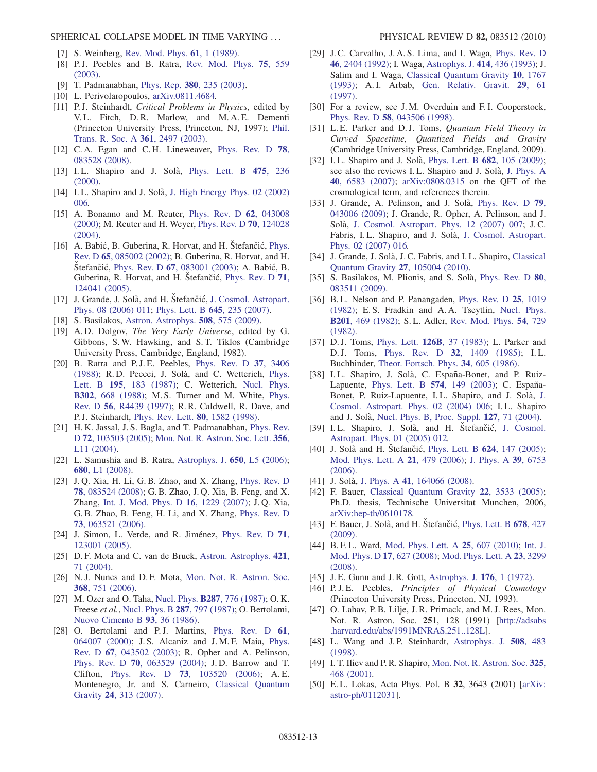SPHERICAL COLLAPSE MODEL IN TIME VARYING ... PHYSICAL REVIEW D 82, 083512 (2010)

- <span id="page-12-0"></span>[7] S. Weinberg, [Rev. Mod. Phys.](http://dx.doi.org/10.1103/RevModPhys.61.1) **61**, 1 (1989).
- <span id="page-12-4"></span>[8] P.J. Peebles and B. Ratra, [Rev. Mod. Phys.](http://dx.doi.org/10.1103/RevModPhys.75.559) 75, 559 [\(2003\)](http://dx.doi.org/10.1103/RevModPhys.75.559).
- <span id="page-12-1"></span>[9] T. Padmanabhan, Phys. Rep. 380[, 235 \(2003\)](http://dx.doi.org/10.1016/S0370-1573(03)00120-0).
- <span id="page-12-2"></span>[10] L. Perivolaropoulos, [arXiv.0811.4684.](http://arXiv.org/abs/arXiv.0811.4684)
- <span id="page-12-3"></span>[11] P.J. Steinhardt, Critical Problems in Physics, edited by V. L. Fitch, D. R. Marlow, and M. A. E. Dementi (Princeton University Press, Princeton, NJ, 1997); [Phil.](http://dx.doi.org/10.1098/rsta.2003.1290) [Trans. R. Soc. A](http://dx.doi.org/10.1098/rsta.2003.1290) 361, 2497 (2003).
- <span id="page-12-5"></span>[12] C.A. Egan and C.H. Lineweaver, [Phys. Rev. D](http://dx.doi.org/10.1103/PhysRevD.78.083528) 78, [083528 \(2008\)](http://dx.doi.org/10.1103/PhysRevD.78.083528).
- <span id="page-12-6"></span>[13] I.L. Shapiro and J. Solà, [Phys. Lett. B](http://dx.doi.org/10.1016/S0370-2693(00)00090-3) 475, 236 [\(2000\)](http://dx.doi.org/10.1016/S0370-2693(00)00090-3).
- <span id="page-12-26"></span>[14] I.L. Shapiro and J. Solà, [J. High Energy Phys. 02 \(2002\)](http://dx.doi.org/10.1088/1126-6708/2002/02/006) [006.](http://dx.doi.org/10.1088/1126-6708/2002/02/006)
- <span id="page-12-25"></span>[15] A. Bonanno and M. Reuter, *[Phys. Rev. D](http://dx.doi.org/10.1103/PhysRevD.62.043008)* 62, 043008 [\(2000\)](http://dx.doi.org/10.1103/PhysRevD.62.043008); M. Reuter and H. Weyer, [Phys. Rev. D](http://dx.doi.org/10.1103/PhysRevD.70.124028) 70, 124028 [\(2004\)](http://dx.doi.org/10.1103/PhysRevD.70.124028).
- <span id="page-12-27"></span>[16] A. Babić, B. Guberina, R. Horvat, and H. Štefančić, [Phys.](http://dx.doi.org/10.1103/PhysRevD.65.085002) Rev. D 65[, 085002 \(2002\)](http://dx.doi.org/10.1103/PhysRevD.65.085002); B. Guberina, R. Horvat, and H. Štefančić, Phys. Rev. D 67[, 083001 \(2003\)](http://dx.doi.org/10.1103/PhysRevD.67.083001); A. Babić, B. Guberina, R. Horvat, and H. Štefančić, [Phys. Rev. D](http://dx.doi.org/10.1103/PhysRevD.71.124041) 71, [124041 \(2005\)](http://dx.doi.org/10.1103/PhysRevD.71.124041).
- <span id="page-12-35"></span>[17] J. Grande, J. Solà, and H. Štefančić, [J. Cosmol. Astropart.](http://dx.doi.org/10.1088/1475-7516/2006/08/011) [Phys. 08 \(2006\) 011;](http://dx.doi.org/10.1088/1475-7516/2006/08/011) [Phys. Lett. B](http://dx.doi.org/10.1016/j.physletb.2006.12.040) 645, 235 (2007).
- <span id="page-12-8"></span><span id="page-12-7"></span>[18] S. Basilakos, [Astron. Astrophys.](http://dx.doi.org/10.1051/0004-6361/200912575) 508, 575 (2009).
- [19] A.D. Dolgov, The Very Early Universe, edited by G. Gibbons, S. W. Hawking, and S. T. Tiklos (Cambridge University Press, Cambridge, England, 1982).
- <span id="page-12-9"></span>[20] B. Ratra and P.J.E. Peebles, [Phys. Rev. D](http://dx.doi.org/10.1103/PhysRevD.37.3406) 37, 3406 [\(1988\)](http://dx.doi.org/10.1103/PhysRevD.37.3406); R. D. Peccei, J. Solà, and C. Wetterich, [Phys.](http://dx.doi.org/10.1016/0370-2693(87)91191-9) Lett. B 195[, 183 \(1987\)](http://dx.doi.org/10.1016/0370-2693(87)91191-9); C. Wetterich, [Nucl. Phys.](http://dx.doi.org/10.1016/0550-3213(88)90193-9) B302[, 668 \(1988\)](http://dx.doi.org/10.1016/0550-3213(88)90193-9); M. S. Turner and M. White, [Phys.](http://dx.doi.org/10.1103/PhysRevD.56.R4439) Rev. D 56[, R4439 \(1997\)](http://dx.doi.org/10.1103/PhysRevD.56.R4439); R. R. Caldwell, R. Dave, and P. J. Steinhardt, [Phys. Rev. Lett.](http://dx.doi.org/10.1103/PhysRevLett.80.1582) 80, 1582 (1998).
- <span id="page-12-10"></span>[21] H. K. Jassal, J. S. Bagla, and T. Padmanabhan, [Phys. Rev.](http://dx.doi.org/10.1103/PhysRevD.72.103503) D 72[, 103503 \(2005\);](http://dx.doi.org/10.1103/PhysRevD.72.103503) [Mon. Not. R. Astron. Soc. Lett.](http://dx.doi.org/10.1111/j.1745-3933.2005.08577.x) 356, [L11 \(2004\)](http://dx.doi.org/10.1111/j.1745-3933.2005.08577.x).
- [22] L. Samushia and B. Ratra, [Astrophys. J.](http://dx.doi.org/10.1086/508662) 650, L5 (2006); 680[, L1 \(2008\)](http://dx.doi.org/10.1086/589744).
- [23] J. O. Xia, H. Li, G. B. Zhao, and X. Zhang, [Phys. Rev. D](http://dx.doi.org/10.1103/PhysRevD.78.083524). 78[, 083524 \(2008\);](http://dx.doi.org/10.1103/PhysRevD.78.083524) G. B. Zhao, J. Q. Xia, B. Feng, and X. Zhang, [Int. J. Mod. Phys. D](http://dx.doi.org/10.1142/S0218271807010717) 16, 1229 (2007); J. Q. Xia, G. B. Zhao, B. Feng, H. Li, and X. Zhang, [Phys. Rev. D](http://dx.doi.org/10.1103/PhysRevD.73.063521) 73[, 063521 \(2006\)](http://dx.doi.org/10.1103/PhysRevD.73.063521).
- <span id="page-12-11"></span>[24] J. Simon, L. Verde, and R. Jiménez, [Phys. Rev. D](http://dx.doi.org/10.1103/PhysRevD.71.123001) 71, [123001 \(2005\)](http://dx.doi.org/10.1103/PhysRevD.71.123001).
- <span id="page-12-12"></span>[25] D. F. Mota and C. van de Bruck, [Astron. Astrophys.](http://dx.doi.org/10.1051/0004-6361:20041090) 421, [71 \(2004\).](http://dx.doi.org/10.1051/0004-6361:20041090)
- <span id="page-12-13"></span>[26] N.J. Nunes and D.F. Mota, [Mon. Not. R. Astron. Soc.](http://dx.doi.org/10.1111/j.1365-2966.2006.10166.x) 368[, 751 \(2006\).](http://dx.doi.org/10.1111/j.1365-2966.2006.10166.x)
- <span id="page-12-14"></span>[27] M. Ozer and O. Taha, Nucl. Phys. B287[, 776 \(1987\)](http://dx.doi.org/10.1016/0550-3213(87)90128-3); O. K. Freese et al., [Nucl. Phys. B](http://dx.doi.org/10.1016/0550-3213(87)90129-5) 287, 797 (1987); O. Bertolami, [Nuovo Cimento B](http://dx.doi.org/10.1007/BF02728301) 93, 36 (1986).
- <span id="page-12-15"></span>[28] O. Bertolami and P.J. Martins, [Phys. Rev. D](http://dx.doi.org/10.1103/PhysRevD.61.064007) 61, [064007 \(2000\);](http://dx.doi.org/10.1103/PhysRevD.61.064007) J. S. Alcaniz and J. M. F. Maia, [Phys.](http://dx.doi.org/10.1103/PhysRevD.67.043502) Rev. D 67[, 043502 \(2003\)](http://dx.doi.org/10.1103/PhysRevD.67.043502); R. Opher and A. Pelinson, Phys. Rev. D 70[, 063529 \(2004\)](http://dx.doi.org/10.1103/PhysRevD.70.063529); J. D. Barrow and T. Clifton, Phys. Rev. D 73[, 103520 \(2006\);](http://dx.doi.org/10.1103/PhysRevD.73.103520) A. E. Montenegro, Jr. and S. Carneiro, [Classical Quantum](http://dx.doi.org/10.1088/0264-9381/24/2/004) Gravity 24[, 313 \(2007\)](http://dx.doi.org/10.1088/0264-9381/24/2/004).
- <span id="page-12-16"></span>[29] J. C. Carvalho, J. A. S. Lima, and I. Waga, [Phys. Rev. D](http://dx.doi.org/10.1103/PhysRevD.46.2404) 46[, 2404 \(1992\)](http://dx.doi.org/10.1103/PhysRevD.46.2404); I. Waga, [Astrophys. J.](http://dx.doi.org/10.1086/173090) 414, 436 (1993); J. Salim and I. Waga, [Classical Quantum Gravity](http://dx.doi.org/10.1088/0264-9381/10/9/018) 10, 1767 [\(1993\)](http://dx.doi.org/10.1088/0264-9381/10/9/018); A. I. Arbab, [Gen. Relativ. Gravit.](http://dx.doi.org/10.1023/A:1010252130608) 29, 61 [\(1997\)](http://dx.doi.org/10.1023/A:1010252130608).
- <span id="page-12-17"></span>[30] For a review, see J.M. Overduin and F.I. Cooperstock, Phys. Rev. D 58[, 043506 \(1998\).](http://dx.doi.org/10.1103/PhysRevD.58.043506)
- <span id="page-12-18"></span>[31] L.E. Parker and D.J. Toms, Quantum Field Theory in Curved Spacetime, Quantized Fields and Gravity (Cambridge University Press, Cambridge, England, 2009).
- <span id="page-12-19"></span>[32] I.L. Shapiro and J. Solà, [Phys. Lett. B](http://dx.doi.org/10.1016/j.physletb.2009.10.073) 682, 105 (2009); see also the reviews I.L. Shapiro and J. Solà, [J. Phys. A](http://dx.doi.org/10.1088/1751-8113/40/25/S03) 40[, 6583 \(2007\)](http://dx.doi.org/10.1088/1751-8113/40/25/S03); [arXiv:0808.0315](http://arXiv.org/abs/0808.0315) on the QFT of the cosmological term, and references therein.
- <span id="page-12-20"></span>[33] J. Grande, A. Pelinson, and J. Solà, [Phys. Rev. D](http://dx.doi.org/10.1103/PhysRevD.79.043006) 79, [043006 \(2009\);](http://dx.doi.org/10.1103/PhysRevD.79.043006) J. Grande, R. Opher, A. Pelinson, and J. Solà, [J. Cosmol. Astropart. Phys. 12 \(2007\) 007](http://dx.doi.org/10.1088/1475-7516/2007/12/007); J.C. Fabris, I.L. Shapiro, and J. Solà, [J. Cosmol. Astropart.](http://dx.doi.org/10.1088/1475-7516/2007/02/016) [Phys. 02 \(2007\) 016.](http://dx.doi.org/10.1088/1475-7516/2007/02/016)
- <span id="page-12-21"></span>[34] J. Grande, J. Solà, J. C. Fabris, and I. L. Shapiro, [Classical](http://dx.doi.org/10.1088/0264-9381/27/10/105004) [Quantum Gravity](http://dx.doi.org/10.1088/0264-9381/27/10/105004) 27, 105004 (2010).
- <span id="page-12-22"></span>[35] S. Basilakos, M. Plionis, and S. Solà, [Phys. Rev. D](http://dx.doi.org/10.1103/PhysRevD.80.083511) 80, [083511 \(2009\).](http://dx.doi.org/10.1103/PhysRevD.80.083511)
- <span id="page-12-23"></span>[36] B.L. Nelson and P. Panangaden, [Phys. Rev. D](http://dx.doi.org/10.1103/PhysRevD.25.1019) 25, 1019 [\(1982\)](http://dx.doi.org/10.1103/PhysRevD.25.1019); E. S. Fradkin and A. A. Tseytlin, [Nucl. Phys.](http://dx.doi.org/10.1016/0550-3213(82)90444-8) B201[, 469 \(1982\)](http://dx.doi.org/10.1016/0550-3213(82)90444-8); S. L. Adler, [Rev. Mod. Phys.](http://dx.doi.org/10.1103/RevModPhys.54.729) 54, 729 [\(1982\)](http://dx.doi.org/10.1103/RevModPhys.54.729).
- <span id="page-12-24"></span>[37] D. J. Toms, Phys. Lett. **126B**[, 37 \(1983\);](http://dx.doi.org/10.1016/0370-2693(83)90011-4) L. Parker and D. J. Toms, Phys. Rev. D 32[, 1409 \(1985\)](http://dx.doi.org/10.1103/PhysRevD.32.1409); I.L. Buchbinder, [Theor. Fortsch. Phys.](http://dx.doi.org/10.1002/prop.19860340902) 34, 605 (1986).
- <span id="page-12-28"></span>[38] I.L. Shapiro, J. Solà, C. España-Bonet, and P. Ruiz-Lapuente, [Phys. Lett. B](http://dx.doi.org/10.1016/j.physletb.2003.09.016) 574, 149 (2003); C. España-Bonet, P. Ruiz-Lapuente, I.L. Shapiro, and [J.](http://dx.doi.org/10.1088/1475-7516/2004/02/006) Solà, J. [Cosmol. Astropart. Phys. 02 \(2004\) 006;](http://dx.doi.org/10.1088/1475-7516/2004/02/006) I. L. Shapiro and J. Sola`, [Nucl. Phys. B, Proc. Suppl.](http://dx.doi.org/10.1016/S0920-5632(03)02402-2) 127, 71 (2004).
- <span id="page-12-36"></span>[39] I.L. Shapiro, J. Solà, and H. Štefančić, [J. Cosmol.](http://dx.doi.org/10.1088/1475-7516/2005/01/012) [Astropart. Phys. 01 \(2005\) 012.](http://dx.doi.org/10.1088/1475-7516/2005/01/012)
- <span id="page-12-34"></span>[40] J. Solà and H. Stefančić, [Phys. Lett. B](http://dx.doi.org/10.1016/j.physletb.2005.08.051) 624, 147 (2005); [Mod. Phys. Lett. A](http://dx.doi.org/10.1142/S0217732306019554) 21, 479 (2006); [J. Phys. A](http://dx.doi.org/10.1088/0305-4470/39/21/S76) 39, 6753 [\(2006\)](http://dx.doi.org/10.1088/0305-4470/39/21/S76).
- <span id="page-12-30"></span>[41] J. Solà, J. Phys. A 41[, 164066 \(2008\)](http://dx.doi.org/10.1088/1751-8113/41/16/164066).
- [42] F. Bauer, [Classical Quantum Gravity](http://dx.doi.org/10.1088/0264-9381/22/17/012) 22, 3533 (2005); Ph.D. thesis, Technische Universitat Munchen, 2006, [arXiv:hep-th/0610178.](http://arXiv.org/abs/hep-th/0610178)
- [43] F. Bauer, J. Solà, and H. Štefančić, [Phys. Lett. B](http://dx.doi.org/10.1016/j.physletb.2009.06.065) 678, 427 [\(2009\)](http://dx.doi.org/10.1016/j.physletb.2009.06.065).
- <span id="page-12-29"></span>[44] B. F. L. Ward, [Mod. Phys. Lett. A](http://dx.doi.org/10.1142/S021773231003269X) 25, 607 (2010); [Int. J.](http://dx.doi.org/10.1142/S021827180801236X) [Mod. Phys. D](http://dx.doi.org/10.1142/S021827180801236X) 17, 627 (2008); [Mod. Phys. Lett. A](http://dx.doi.org/10.1142/S0217732308028624) 23, 3299 [\(2008\)](http://dx.doi.org/10.1142/S0217732308028624).
- <span id="page-12-32"></span><span id="page-12-31"></span>[45] J. E. Gunn and J. R. Gott, [Astrophys. J.](http://dx.doi.org/10.1086/151605) **176**, 1 (1972).
- [46] P.J.E. Peebles, Principles of Physical Cosmology (Princeton University Press, Princeton, NJ, 1993).
- <span id="page-12-33"></span>[47] O. Lahav, P. B. Lilje, J. R. Primack, and M. J. Rees, Mon. Not. R. Astron. Soc. 251, 128 (1991) [\[http://adsabs](http://adsabs.harvard.edu/abs/1991MNRAS.251..128L) [.harvard.edu/abs/1991MNRAS.251..128L\]](http://adsabs.harvard.edu/abs/1991MNRAS.251..128L).
- <span id="page-12-37"></span>[48] L. Wang and J.P. Steinhardt, [Astrophys. J.](http://dx.doi.org/10.1086/306436) 508, 483 [\(1998\)](http://dx.doi.org/10.1086/306436).
- [49] I. T. Iliev and P. R. Shapiro, [Mon. Not. R. Astron. Soc.](http://dx.doi.org/10.1046/j.1365-8711.2001.04422.x) 325, [468 \(2001\)](http://dx.doi.org/10.1046/j.1365-8711.2001.04422.x).
- [50] E.L. Lokas, Acta Phys. Pol. B 32, 3643 (2001) [\[arXiv:](http://arXiv.org/abs/astro-ph/0112031) [astro-ph/0112031\]](http://arXiv.org/abs/astro-ph/0112031).